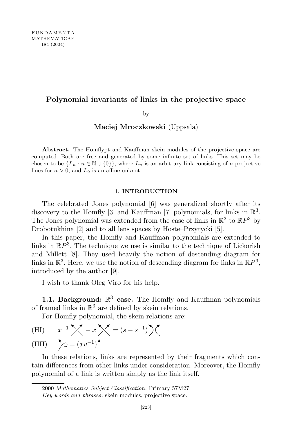# Polynomial invariants of links in the projective space

by

### Maciej Mroczkowski (Uppsala)

Abstract. The Homflypt and Kauffman skein modules of the projective space are computed. Both are free and generated by some infinite set of links. This set may be chosen to be  $\{L_n : n \in \mathbb{N} \cup \{0\}\}\,$ , where  $L_n$  is an arbitrary link consisting of n projective lines for  $n > 0$ , and  $L_0$  is an affine unknot.

### 1. INTRODUCTION

The celebrated Jones polynomial [6] was generalized shortly after its discovery to the Homfly [3] and Kauffman [7] polynomials, for links in  $\mathbb{R}^3$ . The Jones polynomial was extended from the case of links in  $\mathbb{R}^3$  to  $\mathbb{R}P^3$  by Drobotukhina [2] and to all lens spaces by Hoste–Przytycki [5].

In this paper, the Homfly and Kauffman polynomials are extended to links in  $\mathbb{R}P^3$ . The technique we use is similar to the technique of Lickorish and Millett [8]. They used heavily the notion of descending diagram for links in  $\mathbb{R}^3$ . Here, we use the notion of descending diagram for links in  $\mathbb{R}P^3$ , introduced by the author [9].

I wish to thank Oleg Viro for his help.

**1.1. Background:**  $\mathbb{R}^3$  case. The Homfly and Kauffman polynomials of framed links in  $\mathbb{R}^3$  are defined by skein relations.

For Homfly polynomial, the skein relations are:

(HI) 
$$
x^{-1} \times -x \times = (s - s^{-1}) \times
$$
  
\n(HII)  $\sum y = (xv^{-1})$ 

In these relations, links are represented by their fragments which contain differences from other links under consideration. Moreover, the Homfly polynomial of a link is written simply as the link itself.

<sup>2000</sup> Mathematics Subject Classification: Primary 57M27.

Key words and phrases: skein modules, projective space.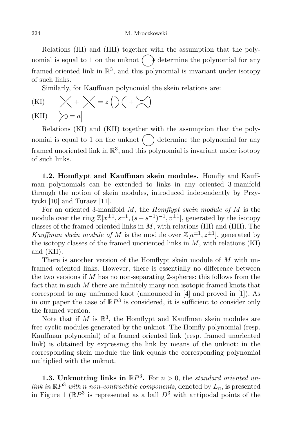Relations (HI) and (HII) together with the assumption that the polynomial is equal to 1 on the unknot  $\left(\begin{array}{c}\n\end{array}\right)$  determine the polynomial for any framed oriented link in  $\mathbb{R}^3$ , and this polynomial is invariant under isotopy of such links.

Similarly, for Kauffman polynomial the skein relations are:

(KI) 
$$
\times + \times = z \left( \right) \left( + \times \right)
$$
  
(KII)  $\searrow = a$ 

Relations (KI) and (KII) together with the assumption that the polynomial is equal to 1 on the unknot  $\binom{ }{ }$  determine the polynomial for any framed unoriented link in  $\mathbb{R}^3$ , and this polynomial is invariant under isotopy of such links.

1.2. Homflypt and Kauffman skein modules. Homfly and Kauffman polynomials can be extended to links in any oriented 3-manifold through the notion of skein modules, introduced independently by Przytycki [10] and Turaev [11].

For an oriented 3-manifold  $M$ , the *Homflypt skein module of*  $M$  is the module over the ring  $\mathbb{Z}[x^{\pm 1}, s^{\pm 1}, (s-s^{-1})^{-1}, v^{\pm 1}]$ , generated by the isotopy classes of the framed oriented links in  $M$ , with relations (HI) and (HII). The Kauffman skein module of M is the module over  $\mathbb{Z}[a^{\pm 1}, z^{\pm 1}]$ , generated by the isotopy classes of the framed unoriented links in  $M$ , with relations  $(KI)$ and (KII).

There is another version of the Homflypt skein module of  $M$  with unframed oriented links. However, there is essentially no difference between the two versions if  $M$  has no non-separating 2-spheres: this follows from the fact that in such M there are infinitely many non-isotopic framed knots that correspond to any unframed knot (announced in [4] and proved in [1]). As in our paper the case of  $\mathbb{R}P^3$  is considered, it is sufficient to consider only the framed version.

Note that if  $M$  is  $\mathbb{R}^3$ , the Homflypt and Kauffman skein modules are free cyclic modules generated by the unknot. The Homfly polynomial (resp. Kauffman polynomial) of a framed oriented link (resp. framed unoriented link) is obtained by expressing the link by means of the unknot: in the corresponding skein module the link equals the corresponding polynomial multiplied with the unknot.

**1.3.** Unknotting links in  $\mathbb{R}P^3$ . For  $n > 0$ , the standard oriented unlink in  $\mathbb{R}P^3$  with n non-contractible components, denoted by  $L_n$ , is presented in Figure 1 ( $\mathbb{R}P^3$  is represented as a ball  $D^3$  with antipodal points of the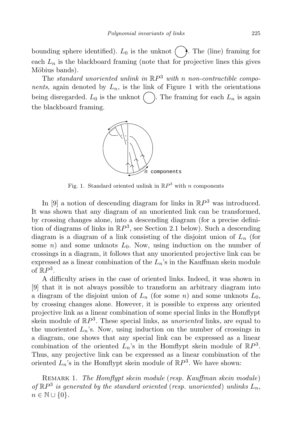bounding sphere identified).  $L_0$  is the unknot  $( \ )$ . The (line) framing for each  $L_n$  is the blackboard framing (note that for projective lines this gives Möbius bands).

The standard unoriented unlink in  $\mathbb{R}P^3$  with n non-contractible components, again denoted by  $L_n$ , is the link of Figure 1 with the orientations being disregarded.  $L_0$  is the unknot  $\left( \quad \right)$ . The framing for each  $L_n$  is again the blackboard framing.



Fig. 1. Standard oriented unlink in  $\mathbb{R}P^3$  with *n* components

In [9] a notion of descending diagram for links in  $\mathbb{R}P^3$  was introduced. It was shown that any diagram of an unoriented link can be transformed, by crossing changes alone, into a descending diagram (for a precise definition of diagrams of links in  $\mathbb{R}P^3$ , see Section 2.1 below). Such a descending diagram is a diagram of a link consisting of the disjoint union of  $L_n$  (for some n) and some unknots  $L_0$ . Now, using induction on the number of crossings in a diagram, it follows that any unoriented projective link can be expressed as a linear combination of the  $L_n$ 's in the Kauffman skein module of  $\mathbb{R}P^3$ .

A difficulty arises in the case of oriented links. Indeed, it was shown in [9] that it is not always possible to transform an arbitrary diagram into a diagram of the disjoint union of  $L_n$  (for some n) and some unknots  $L_0$ , by crossing changes alone. However, it is possible to express any oriented projective link as a linear combination of some special links in the Homflypt skein module of  $\mathbb{R}P^3$ . These special links, as *unoriented* links, are equal to the unoriented  $L_n$ 's. Now, using induction on the number of crossings in a diagram, one shows that any special link can be expressed as a linear combination of the oriented  $L_n$ 's in the Homflypt skein module of  $\mathbb{R}P^3$ . Thus, any projective link can be expressed as a linear combination of the oriented  $L_n$ 's in the Homflypt skein module of  $\mathbb{R}P^3$ . We have shown:

REMARK 1. The Homflypt skein module (resp. Kauffman skein module) of  $\mathbb{R}P^3$  is generated by the standard oriented (resp. unoriented) unlinks  $L_n$ ,  $n \in \mathbb{N} \cup \{0\}.$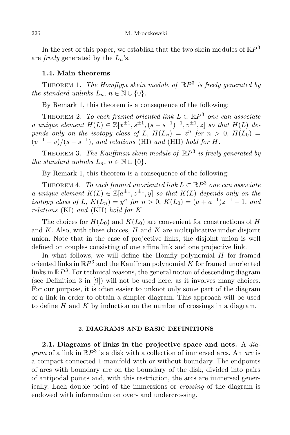In the rest of this paper, we establish that the two skein modules of  $\mathbb{R}P^3$ are *freely* generated by the  $L_n$ 's.

## 1.4. Main theorems

THEOREM 1. The Homflypt skein module of  $\mathbb{R}P^3$  is freely generated by the standard unlinks  $L_n$ ,  $n \in \mathbb{N} \cup \{0\}$ .

By Remark 1, this theorem is a consequence of the following:

THEOREM 2. To each framed oriented link  $L \subset \mathbb{R}P^3$  one can associate a unique element  $H(L) \in \mathbb{Z}[x^{\pm 1}, s^{\pm 1}, (s-s^{-1})^{-1}, v^{\pm 1}, z]$  so that  $H(L)$  depends only on the isotopy class of L,  $H(L_n) = z^n$  for  $n > 0$ ,  $H(L_0) =$  $(v^{-1}-v)/(s-s^{-1})$ , and relations (HI) and (HII) hold for H.

THEOREM 3. The Kauffman skein module of  $\mathbb{R}P^3$  is freely generated by the standard unlinks  $L_n$ ,  $n \in \mathbb{N} \cup \{0\}$ .

By Remark 1, this theorem is a consequence of the following:

THEOREM 4. To each framed unoriented link  $L \subset \mathbb{R}P^3$  one can associate a unique element  $K(L) \in \mathbb{Z}[a^{\pm 1}, z^{\pm 1}, y]$  so that  $K(L)$  depends only on the isotopy class of L,  $K(L_n) = y^n$  for  $n > 0$ ,  $K(L_0) = (a + a^{-1})z^{-1} - 1$ , and relations (KI) and (KII) hold for K.

The choices for  $H(L_0)$  and  $K(L_0)$  are convenient for constructions of H and  $K$ . Also, with these choices,  $H$  and  $K$  are multiplicative under disjoint union. Note that in the case of projective links, the disjoint union is well defined on couples consisting of one affine link and one projective link.

In what follows, we will define the Homfly polynomial  $H$  for framed oriented links in  $\mathbb{R}P^3$  and the Kauffman polynomial  $K$  for framed unoriented links in  $\mathbb{R}P^3$ . For technical reasons, the general notion of descending diagram (see Definition 3 in [9]) will not be used here, as it involves many choices. For our purpose, it is often easier to unknot only some part of the diagram of a link in order to obtain a simpler diagram. This approach will be used to define  $H$  and  $K$  by induction on the number of crossings in a diagram.

### 2. DIAGRAMS AND BASIC DEFINITIONS

2.1. Diagrams of links in the projective space and nets. A  $dia$ gram of a link in  $\mathbb{R}P^3$  is a disk with a collection of immersed arcs. An arc is a compact connected 1-manifold with or without boundary. The endpoints of arcs with boundary are on the boundary of the disk, divided into pairs of antipodal points and, with this restriction, the arcs are immersed generically. Each double point of the immersions or crossing of the diagram is endowed with information on over- and undercrossing.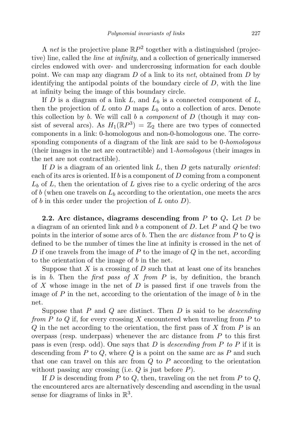A *net* is the projective plane  $\mathbb{R}P^2$  together with a distinguished (projective) line, called the line at infinity, and a collection of generically immersed circles endowed with over- and undercrossing information for each double point. We can map any diagram  $D$  of a link to its net, obtained from  $D$  by identifying the antipodal points of the boundary circle of  $D$ , with the line at infinity being the image of this boundary circle.

If D is a diagram of a link L, and  $L_b$  is a connected component of L, then the projection of L onto D maps  $L<sub>b</sub>$  onto a collection of arcs. Denote this collection by b. We will call b a *component* of  $D$  (though it may consist of several arcs). As  $H_1(\mathbb{R}P^3) = \mathbb{Z}_2$  there are two types of connected components in a link: 0-homologous and non-0-homologous one. The corresponding components of a diagram of the link are said to be 0-*homologous* (their images in the net are contractible) and 1-homologous (their images in the net are not contractible).

If  $D$  is a diagram of an oriented link  $L$ , then  $D$  gets naturally *oriented*: each of its arcs is oriented. If b is a component of  $D$  coming from a component  $L<sub>b</sub>$  of L, then the orientation of L gives rise to a cyclic ordering of the arcs of b (when one travels on  $L_b$  according to the orientation, one meets the arcs of  $b$  in this order under the projection of  $L$  onto  $D$ ).

2.2. Arc distance, diagrams descending from  $P$  to  $Q$ . Let  $D$  be a diagram of an oriented link and b a component of  $D$ . Let  $P$  and  $Q$  be two points in the interior of some arcs of b. Then the arc distance from  $P$  to  $Q$  is defined to be the number of times the line at infinity is crossed in the net of D if one travels from the image of P to the image of Q in the net, according to the orientation of the image of  $b$  in the net.

Suppose that  $X$  is a crossing of  $D$  such that at least one of its branches is in b. Then the *first pass of X from P* is, by definition, the branch of X whose image in the net of  $D$  is passed first if one travels from the image of  $P$  in the net, according to the orientation of the image of  $b$  in the net.

Suppose that  $P$  and  $Q$  are distinct. Then  $D$  is said to be *descending* from P to Q if, for every crossing X encountered when traveling from P to  $Q$  in the net according to the orientation, the first pass of  $X$  from  $P$  is an overpass (resp. underpass) whenever the arc distance from  $P$  to this first pass is even (resp. odd). One says that D is descending from P to P if it is descending from  $P$  to  $Q$ , where  $Q$  is a point on the same arc as  $P$  and such that one can travel on this arc from  $Q$  to  $P$  according to the orientation without passing any crossing (i.e.  $Q$  is just before  $P$ ).

If D is descending from P to Q, then, traveling on the net from P to  $Q$ , the encountered arcs are alternatively descending and ascending in the usual sense for diagrams of links in  $\mathbb{R}^3$ .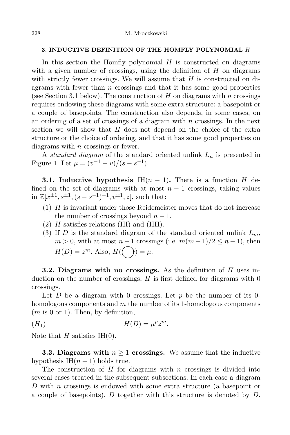### 3. INDUCTIVE DEFINITION OF THE HOMFLY POLYNOMIAL H

In this section the Homfly polynomial  $H$  is constructed on diagrams with a given number of crossings, using the definition of  $H$  on diagrams with strictly fewer crossings. We will assume that  $H$  is constructed on diagrams with fewer than  $n$  crossings and that it has some good properties (see Section 3.1 below). The construction of H on diagrams with n crossings requires endowing these diagrams with some extra structure: a basepoint or a couple of basepoints. The construction also depends, in some cases, on an ordering of a set of crossings of a diagram with n crossings. In the next section we will show that  $H$  does not depend on the choice of the extra structure or the choice of ordering, and that it has some good properties on diagrams with  $n$  crossings or fewer.

A standard diagram of the standard oriented unlink  $L_n$  is presented in Figure 1. Let  $\mu = (v^{-1} - v)/(s - s^{-1}).$ 

**3.1.** Inductive hypothesis IH $(n-1)$ . There is a function H defined on the set of diagrams with at most  $n-1$  crossings, taking values in  $\mathbb{Z}[x^{\pm 1}, s^{\pm 1}, (s - s^{-1})^{-1}, v^{\pm 1}, z]$ , such that:

- $(1)$  H is invariant under those Reidemeister moves that do not increase the number of crossings beyond  $n-1$ .
- $(2)$  H satisfies relations (HI) and (HII).
- (3) If D is the standard diagram of the standard oriented unlink  $L_m$ ,  $m > 0$ , with at most  $n - 1$  crossings (i.e.  $m(m - 1)/2 \leq n - 1$ ), then  $H(D) = z^m$ . Also,  $H(\overline{\ })$   $= \mu$ .

**3.2. Diagrams with no crossings.** As the definition of  $H$  uses induction on the number of crossings,  $H$  is first defined for diagrams with 0 crossings.

Let D be a diagram with 0 crossings. Let p be the number of its 0homologous components and  $m$  the number of its 1-homologous components  $(m \text{ is } 0 \text{ or } 1)$ . Then, by definition,

$$
(H_1) \t\t H(D) = \mu^p z^m.
$$

Note that  $H$  satisfies IH(0).

**3.3. Diagrams with**  $n \geq 1$  crossings. We assume that the inductive hypothesis IH $(n-1)$  holds true.

The construction of  $H$  for diagrams with  $n$  crossings is divided into several cases treated in the subsequent subsections. In each case a diagram D with n crossings is endowed with some extra structure (a basepoint or a couple of basepoints). D together with this structure is denoted by  $\dot{D}$ .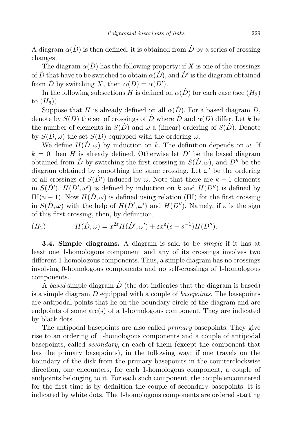A diagram  $\alpha(D)$  is then defined: it is obtained from D by a series of crossing changes.

The diagram  $\alpha(\dot{D})$  has the following property: if X is one of the crossings of  $\dot{D}$  that have to be switched to obtain  $\alpha(\dot{D}),$  and  $\dot{D}'$  is the diagram obtained from  $\dot{D}$  by switching X, then  $\alpha(\dot{D}) = \alpha(\dot{D}')$ .

In the following subsections H is defined on  $\alpha(\dot{D})$  for each case (see  $(H_3)$ ) to  $(H_6)$ ).

Suppose that H is already defined on all  $\alpha(D)$ . For a based diagram  $\dot{D}$ , denote by  $S(\dot{D})$  the set of crossings of  $\dot{D}$  where  $\dot{D}$  and  $\alpha(\dot{D})$  differ. Let k be the number of elements in  $S(\dot{D})$  and  $\omega$  a (linear) ordering of  $S(\dot{D})$ . Denote by  $S(\dot{D}, \omega)$  the set  $S(\dot{D})$  equipped with the ordering  $\omega$ .

We define  $H(D, \omega)$  by induction on k. The definition depends on  $\omega$ . If  $k = 0$  then H is already defined. Otherwise let  $\dot{D}'$  be the based diagram obtained from  $\dot{D}$  by switching the first crossing in  $S(\dot{D}, \omega)$ , and  $D''$  be the diagram obtained by smoothing the same crossing. Let  $\omega'$  be the ordering of all crossings of  $S(D')$  induced by  $\omega$ . Note that there are  $k-1$  elements in  $S(\dot{D}')$ .  $H(\dot{D}', \omega')$  is defined by induction on k and  $H(D'')$  is defined by IH( $n-1$ ). Now  $H(D,\omega)$  is defined using relation (HI) for the first crossing in  $S(\dot{D}, \omega)$  with the help of  $H(\dot{D}', \omega')$  and  $H(D'')$ . Namely, if  $\varepsilon$  is the sign of this first crossing, then, by definition,

$$
(H_2) \tH(\dot{D}, \omega) = x^{2\varepsilon} H(\dot{D}', \omega') + \varepsilon x^{\varepsilon} (s - s^{-1}) H(D'').
$$

**3.4. Simple diagrams.** A diagram is said to be *simple* if it has at least one 1-homologous component and any of its crossings involves two different 1-homologous components. Thus, a simple diagram has no crossings involving 0-homologous components and no self-crossings of 1-homologous components.

A based simple diagram  $\ddot{D}$  (the dot indicates that the diagram is based) is a simple diagram D equipped with a couple of basepoints. The basepoints are antipodal points that lie on the boundary circle of the diagram and are endpoints of some arc(s) of a 1-homologous component. They are indicated by black dots.

The antipodal basepoints are also called *primary* basepoints. They give rise to an ordering of 1-homologous components and a couple of antipodal basepoints, called secondary, on each of them (except the component that has the primary basepoints), in the following way: if one travels on the boundary of the disk from the primary basepoints in the counterclockwise direction, one encounters, for each 1-homologous component, a couple of endpoints belonging to it. For each such component, the couple encountered for the first time is by definition the couple of secondary basepoints. It is indicated by white dots. The 1-homologous components are ordered starting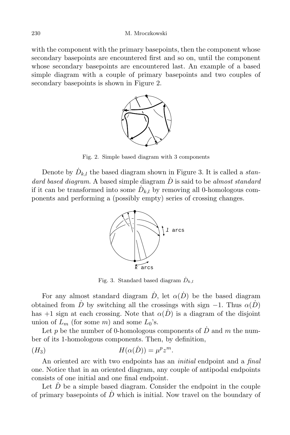with the component with the primary basepoints, then the component whose secondary basepoints are encountered first and so on, until the component whose secondary basepoints are encountered last. An example of a based simple diagram with a couple of primary basepoints and two couples of secondary basepoints is shown in Figure 2.



Fig. 2. Simple based diagram with 3 components

Denote by  $\dot{D}_{k,l}$  the based diagram shown in Figure 3. It is called a *stan*dard based diagram. A based simple diagram  $\dot{D}$  is said to be almost standard if it can be transformed into some  $\dot{D}_{k,l}$  by removing all 0-homologous components and performing a (possibly empty) series of crossing changes.



Fig. 3. Standard based diagram  $\dot{D}_{k,l}$ 

For any almost standard diagram  $\dot{D}$ , let  $\alpha(\dot{D})$  be the based diagram obtained from D by switching all the crossings with sign  $-1$ . Thus  $\alpha(D)$ has +1 sign at each crossing. Note that  $\alpha(D)$  is a diagram of the disjoint union of  $L_m$  (for some m) and some  $L_0$ 's.

Let p be the number of 0-homologous components of  $\dot{D}$  and m the number of its 1-homologous components. Then, by definition,

$$
(H_3) \t\t H(\alpha(\dot{D})) = \mu^p z^m.
$$

An oriented arc with two endpoints has an *initial* endpoint and a *final* one. Notice that in an oriented diagram, any couple of antipodal endpoints consists of one initial and one final endpoint.

Let  $D$  be a simple based diagram. Consider the endpoint in the couple of primary basepoints of  $\ddot{D}$  which is initial. Now travel on the boundary of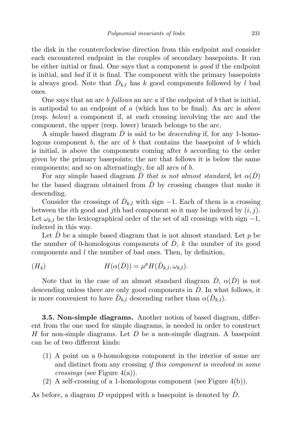the disk in the counterclockwise direction from this endpoint and consider each encountered endpoint in the couples of secondary basepoints. It can be either initial or final. One says that a component is good if the endpoint is initial, and bad if it is final. The component with the primary basepoints is always good. Note that  $\dot{D}_{k,l}$  has k good components followed by l bad ones.

One says that an arc  $b$  follows an arc  $a$  if the endpoint of  $b$  that is initial, is antipodal to an endpoint of  $a$  (which has to be final). An arc is above (resp. below) a component if, at each crossing involving the arc and the component, the upper (resp. lower) branch belongs to the arc.

A simple based diagram  $\dot{D}$  is said to be *descending* if, for any 1-homologous component  $b$ , the arc of  $b$  that contains the basepoint of  $b$  which is initial, is above the components coming after b according to the order given by the primary basepoints; the arc that follows it is below the same components; and so on alternatingly, for all arcs of b.

For any simple based diagram  $\dot{D}$  that is not almost standard, let  $\alpha(\dot{D})$ be the based diagram obtained from  $\ddot{D}$  by crossing changes that make it descending.

Consider the crossings of  $D_{k,l}$  with sign -1. Each of them is a crossing between the *i*th good and *j*th bad component so it may be indexed by  $(i, j)$ . Let  $\omega_{k,l}$  be the lexicographical order of the set of all crossings with sign  $-1$ , indexed in this way.

Let  $\overline{D}$  be a simple based diagram that is not almost standard. Let  $p$  be the number of 0-homologous components of  $\dot{D}$ , k the number of its good components and  $l$  the number of bad ones. Then, by definition,

$$
(H_4) \t\t H(\alpha(\dot{D})) = \mu^p H(\dot{D}_{k,l}, \omega_{k,l}).
$$

Note that in the case of an almost standard diagram  $\dot{D}$ ,  $\alpha(\dot{D})$  is not descending unless there are only good components in  $\dot{D}$ . In what follows, it is more convenient to have  $\dot{D}_{k,l}$  descending rather than  $\alpha(\dot{D}_{k,l})$ .

3.5. Non-simple diagrams. Another notion of based diagram, different from the one used for simple diagrams, is needed in order to construct H for non-simple diagrams. Let  $D$  be a non-simple diagram. A basepoint can be of two different kinds:

- (1) A point on a 0-homologous component in the interior of some arc and distinct from any crossing if this component is involved in some *crossings* (see Figure  $4(a)$ ).
- (2) A self-crossing of a 1-homologous component (see Figure  $4(b)$ ).

As before, a diagram  $D$  equipped with a basepoint is denoted by  $\dot{D}$ .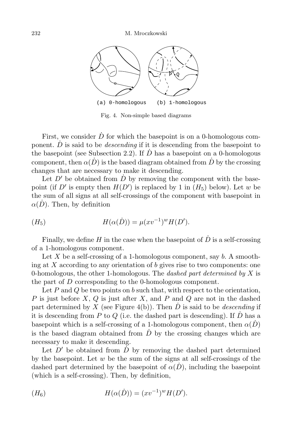

Fig. 4. Non-simple based diagrams

First, we consider  $\dot{D}$  for which the basepoint is on a 0-homologous component.  $\dot{D}$  is said to be *descending* if it is descending from the basepoint to the basepoint (see Subsection 2.2). If  $\overline{D}$  has a basepoint on a 0-homologous component, then  $\alpha(\hat{D})$  is the based diagram obtained from  $\hat{D}$  by the crossing changes that are necessary to make it descending.

Let  $D'$  be obtained from  $\dot{D}$  by removing the component with the basepoint (if D' is empty then  $H(D')$  is replaced by 1 in  $(H_5)$  below). Let w be the sum of all signs at all self-crossings of the component with basepoint in  $\alpha(\dot{D})$ . Then, by definition

$$
(H_5) \t H(\alpha(\dot{D})) = \mu(xv^{-1})^w H(D').
$$

Finally, we define H in the case when the basepoint of  $\dot{D}$  is a self-crossing of a 1-homologous component.

Let X be a self-crossing of a 1-homologous component, say  $b$ . A smoothing at X according to any orientation of b gives rise to two components: one 0-homologous, the other 1-homologous. The *dashed part determined by X* is the part of D corresponding to the 0-homologous component.

Let  $P$  and  $Q$  be two points on  $b$  such that, with respect to the orientation, P is just before  $X, Q$  is just after  $X$ , and P and Q are not in the dashed part determined by X (see Figure 4(b)). Then  $\dot{D}$  is said to be *descending* if it is descending from P to Q (i.e. the dashed part is descending). If  $\overline{D}$  has a basepoint which is a self-crossing of a 1-homologous component, then  $\alpha(D)$ is the based diagram obtained from  $\dot{D}$  by the crossing changes which are necessary to make it descending.

Let  $D'$  be obtained from  $\dot{D}$  by removing the dashed part determined by the basepoint. Let  $w$  be the sum of the signs at all self-crossings of the dashed part determined by the basepoint of  $\alpha(D)$ , including the basepoint (which is a self-crossing). Then, by definition,

$$
(H_6) \t H(\alpha(\dot{D})) = (xv^{-1})^w H(D').
$$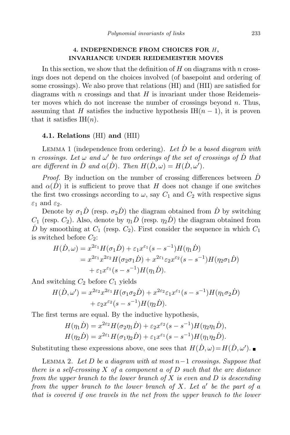## 4. INDEPENDENCE FROM CHOICES FOR H, INVARIANCE UNDER REIDEMEISTER MOVES

In this section, we show that the definition of  $H$  on diagrams with n crossings does not depend on the choices involved (of basepoint and ordering of some crossings). We also prove that relations (HI) and (HII) are satisfied for diagrams with n crossings and that  $H$  is invariant under those Reidemeister moves which do not increase the number of crossings beyond  $n$ . Thus, assuming that H satisfies the inductive hypothesis IH $(n-1)$ , it is proven that it satisfies  $IH(n)$ .

### 4.1. Relations (HI) and (HII)

LEMMA 1 (independence from ordering). Let  $\dot{D}$  be a based diagram with n crossings. Let  $\omega$  and  $\omega'$  be two orderings of the set of crossings of  $\dot{D}$  that are different in  $\dot{D}$  and  $\alpha(\dot{D})$ . Then  $H(\dot{D}, \omega) = H(\dot{D}, \omega')$ .

*Proof.* By induction on the number of crossing differences between  $\overline{D}$ and  $\alpha(\hat{D})$  it is sufficient to prove that H does not change if one switches the first two crossings according to  $\omega$ , say  $C_1$  and  $C_2$  with respective signs  $\varepsilon_1$  and  $\varepsilon_2$ .

Denote by  $\sigma_1 \dot{D}$  (resp.  $\sigma_2 \dot{D}$ ) the diagram obtained from  $\dot{D}$  by switching  $C_1$  (resp.  $C_2$ ). Also, denote by  $\eta_1 \dot{D}$  (resp.  $\eta_2 \dot{D}$ ) the diagram obtained from  $\dot{D}$  by smoothing at  $C_1$  (resp.  $C_2$ ). First consider the sequence in which  $C_1$ is switched before  $C_2$ :

$$
H(\dot{D}, \omega) = x^{2\varepsilon_1} H(\sigma_1 \dot{D}) + \varepsilon_1 x^{\varepsilon_1} (s - s^{-1}) H(\eta_1 \dot{D})
$$
  
=  $x^{2\varepsilon_1} x^{2\varepsilon_2} H(\sigma_2 \sigma_1 \dot{D}) + x^{2\varepsilon_1} \varepsilon_2 x^{\varepsilon_2} (s - s^{-1}) H(\eta_2 \sigma_1 \dot{D})$   
+  $\varepsilon_1 x^{\varepsilon_1} (s - s^{-1}) H(\eta_1 \dot{D}).$ 

And switching  $C_2$  before  $C_1$  yields

$$
H(\dot{D}, \omega') = x^{2\epsilon_2} x^{2\epsilon_1} H(\sigma_1 \sigma_2 \dot{D}) + x^{2\epsilon_2} \varepsilon_1 x^{\epsilon_1} (s - s^{-1}) H(\eta_1 \sigma_2 \dot{D})
$$
  
+  $\varepsilon_2 x^{\epsilon_2} (s - s^{-1}) H(\eta_2 \dot{D}).$ 

The first terms are equal. By the inductive hypothesis,

$$
H(\eta_1 \dot{D}) = x^{2\varepsilon_2} H(\sigma_2 \eta_1 \dot{D}) + \varepsilon_2 x^{\varepsilon_2} (s - s^{-1}) H(\eta_2 \eta_1 \dot{D}),
$$
  

$$
H(\eta_2 \dot{D}) = x^{2\varepsilon_1} H(\sigma_1 \eta_2 \dot{D}) + \varepsilon_1 x^{\varepsilon_1} (s - s^{-1}) H(\eta_1 \eta_2 \dot{D}).
$$

Substituting these expressions above, one sees that  $H(\dot{D}, \omega) = H(\dot{D}, \omega')$ .

LEMMA 2. Let D be a diagram with at most  $n-1$  crossings. Suppose that there is a self-crossing X of a component a of D such that the arc distance from the upper branch to the lower branch of  $X$  is even and  $D$  is descending from the upper branch to the lower branch of X. Let  $a'$  be the part of  $a$ that is covered if one travels in the net from the upper branch to the lower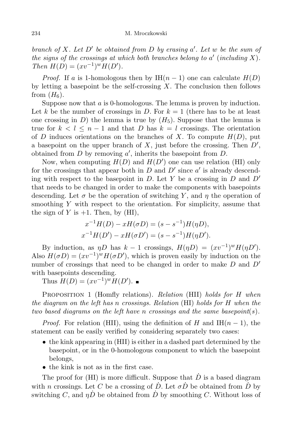branch of X. Let  $D'$  be obtained from D by erasing a'. Let w be the sum of the signs of the crossings at which both branches belong to  $a'$  (including X). Then  $H(D) = (xv^{-1})^w H(D')$ .

*Proof.* If a is 1-homologous then by IH $(n-1)$  one can calculate  $H(D)$ by letting a basepoint be the self-crossing  $X$ . The conclusion then follows from  $(H_6)$ .

Suppose now that a is 0-homologous. The lemma is proven by induction. Let k be the number of crossings in D. For  $k = 1$  (there has to be at least one crossing in D) the lemma is true by  $(H_5)$ . Suppose that the lemma is true for  $k < l \leq n-1$  and that D has  $k = l$  crossings. The orientation of D induces orientations on the branches of X. To compute  $H(D)$ , put a basepoint on the upper branch of  $X$ , just before the crossing. Then  $D'$ , obtained from  $D$  by removing  $a'$ , inherits the basepoint from  $D$ .

Now, when computing  $H(D)$  and  $H(D')$  one can use relation (HI) only for the crossings that appear both in  $D$  and  $D'$  since  $a'$  is already descending with respect to the basepoint in D. Let Y be a crossing in D and  $D'$ that needs to be changed in order to make the components with basepoints descending. Let  $\sigma$  be the operation of switching Y, and  $\eta$  the operation of smoothing  $Y$  with respect to the orientation. For simplicity, assume that the sign of Y is  $+1$ . Then, by (HI),

$$
x^{-1}H(D) - xH(\sigma D) = (s - s^{-1})H(\eta D),
$$
  

$$
x^{-1}H(D') - xH(\sigma D') = (s - s^{-1})H(\eta D').
$$

By induction, as  $\eta D$  has  $k - 1$  crossings,  $H(\eta D) = (xv^{-1})^w H(\eta D')$ . Also  $H(\sigma D) = (xv^{-1})^w H(\sigma D')$ , which is proven easily by induction on the number of crossings that need to be changed in order to make  $D$  and  $D'$ with basepoints descending.

Thus  $H(D) = (xv^{-1})^w H(D').$ 

PROPOSITION 1 (Homfly relations). Relation (HII) holds for H when the diagram on the left has n crossings. Relation (HI) holds for H when the two based diagrams on the left have n crossings and the same basepoint(s).

*Proof.* For relation (HII), using the definition of H and IH $(n-1)$ , the statement can be easily verified by considering separately two cases:

- the kink appearing in (HII) is either in a dashed part determined by the basepoint, or in the 0-homologous component to which the basepoint belongs,
- the kink is not as in the first case.

The proof for (HI) is more difficult. Suppose that  $\dot{D}$  is a based diagram with *n* crossings. Let *C* be a crossing of  $\dot{D}$ . Let  $\sigma \dot{D}$  be obtained from  $\dot{D}$  by switching C, and  $\eta \dot{D}$  be obtained from  $\dot{D}$  by smoothing C. Without loss of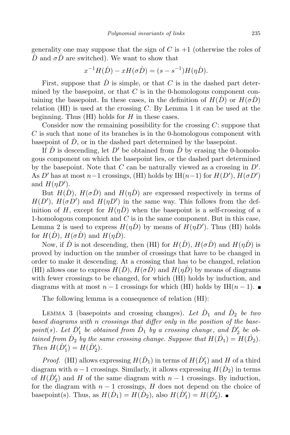generality one may suppose that the sign of C is  $+1$  (otherwise the roles of  $\dot{D}$  and  $\sigma \dot{D}$  are switched). We want to show that

$$
x^{-1}H(D) - xH(\sigma D) = (s - s^{-1})H(\eta D).
$$

First, suppose that  $\dot{D}$  is simple, or that C is in the dashed part determined by the basepoint, or that  $C$  is in the 0-homologous component containing the basepoint. In these cases, in the definition of  $H(D)$  or  $H(\sigma D)$ relation  $(HI)$  is used at the crossing C. By Lemma 1 it can be used at the beginning. Thus  $(HI)$  holds for  $H$  in these cases.

Consider now the remaining possibility for the crossing  $C$ : suppose that  $C$  is such that none of its branches is in the 0-homologous component with basepoint of  $\dot{D}$ , or in the dashed part determined by the basepoint.

If  $\dot{D}$  is descending, let  $D'$  be obtained from  $\dot{D}$  by erasing the 0-homologous component on which the basepoint lies, or the dashed part determined by the basepoint. Note that  $C$  can be naturally viewed as a crossing in  $D'$ . As D' has at most  $n-1$  crossings, (HI) holds by IH( $n-1$ ) for  $H(D')$ ,  $H(\sigma D')$ and  $H(\eta D')$ .

But  $H(D)$ ,  $H(\sigma \dot{D})$  and  $H(\eta \dot{D})$  are expressed respectively in terms of  $H(D')$ ,  $H(\sigma D')$  and  $H(\eta D')$  in the same way. This follows from the definition of H, except for  $H(\eta \vec{D})$  when the basepoint is a self-crossing of a 1-homologous component and  $C$  is in the same component. But in this case, Lemma 2 is used to express  $H(\eta \dot{D})$  by means of  $H(\eta D')$ . Thus (HI) holds for  $H(D)$ ,  $H(\sigma \dot{D})$  and  $H(\eta \dot{D})$ .

Now, if  $\dot{D}$  is not descending, then (HI) for  $H(\dot{D})$ ,  $H(\sigma \dot{D})$  and  $H(\eta \dot{D})$  is proved by induction on the number of crossings that have to be changed in order to make it descending. At a crossing that has to be changed, relation (HI) allows one to express  $H(D)$ ,  $H(\sigma \dot{D})$  and  $H(\eta \dot{D})$  by means of diagrams with fewer crossings to be changed, for which (HI) holds by induction, and diagrams with at most  $n-1$  crossings for which (HI) holds by IH $(n-1)$ .

The following lemma is a consequence of relation (HI):

LEMMA 3 (basepoints and crossing changes). Let  $\dot{D}_1$  and  $\dot{D}_2$  be two based diagrams with n crossings that differ only in the position of the basepoint(s). Let  $\dot{D}'_1$  be obtained from  $\dot{D}_1$  by a crossing change, and  $\dot{D}'_2$  be obtained from  $\dot{D}_2$  by the same crossing change. Suppose that  $H(\dot{D}_1) = H(\dot{D}_2)$ . Then  $H(D'_1) = H(D'_2)$ .

*Proof.* (HI) allows expressing  $H(D_1)$  in terms of  $H(D'_1)$  and H of a third diagram with  $n-1$  crossings. Similarly, it allows expressing  $H(D_2)$  in terms of  $H(D'_2)$  and H of the same diagram with  $n-1$  crossings. By induction, for the diagram with  $n - 1$  crossings, H does not depend on the choice of basepoint(s). Thus, as  $H(D_1) = H(D_2)$ , also  $H(D'_1) = H(D'_2)$ .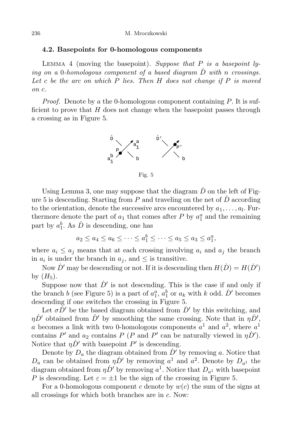### 4.2. Basepoints for 0-homologous components

LEMMA 4 (moving the basepoint). Suppose that  $P$  is a basepoint lying on a 0-homologous component of a based diagram  $\overline{D}$  with n crossings. Let c be the arc on which  $P$  lies. Then  $H$  does not change if  $P$  is moved on c.

*Proof.* Denote by a the 0-homologous component containing  $P$ . It is sufficient to prove that  $H$  does not change when the basepoint passes through a crossing as in Figure 5.



Fig. 5

Using Lemma 3, one may suppose that the diagram  $\dot{D}$  on the left of Figure 5 is descending. Starting from P and traveling on the net of  $\dot{D}$  according to the orientation, denote the successive arcs encountered by  $a_1, \ldots, a_l$ . Furthermore denote the part of  $a_1$  that comes after P by  $a_1^a$  and the remaining part by  $a_1^b$ . As  $\dot{D}$  is descending, one has

$$
a_2 \le a_4 \le a_6 \le \cdots \le a_1^b \le \cdots \le a_5 \le a_3 \le a_1^a,
$$

where  $a_i \leq a_j$  means that at each crossing involving  $a_i$  and  $a_j$  the branch in  $a_i$  is under the branch in  $a_j$ , and  $\leq$  is transitive.

Now  $\dot{D}'$  may be descending or not. If it is descending then  $H(\dot{D}) = H(\dot{D}')$ by  $(H_5)$ .

Suppose now that  $\dot{D}'$  is not descending. This is the case if and only if the branch b (see Figure 5) is a part of  $a_1^a$ ,  $a_1^b$  or  $a_k$  with k odd.  $\dot{D}'$  becomes descending if one switches the crossing in Figure 5.

Let  $\sigma \dot{D}'$  be the based diagram obtained from  $\dot{D}'$  by this switching, and  $\eta \dot{D}'$  obtained from  $\dot{D}'$  by smoothing the same crossing. Note that in  $\eta \dot{D}',$ a becomes a link with two 0-homologous components  $a^1$  and  $a^2$ , where  $a^1$ contains  $P'$  and  $a_2$  contains  $P(P \text{ and } P' \text{ can be naturally viewed in } \eta \dot{D}')$ . Notice that  $\eta \dot{D}'$  with basepoint  $P'$  is descending.

Denote by  $D_a$  the diagram obtained from  $\dot{D}'$  by removing a. Notice that  $D_a$  can be obtained from  $\eta \dot{D}'$  by removing  $a^1$  and  $a^2$ . Denote by  $D_{a^1}$  the diagram obtained from  $\eta \dot{D}^{\prime}$  by removing  $a^{1}$ . Notice that  $D_{a^{1}}$  with basepoint P is descending. Let  $\varepsilon = \pm 1$  be the sign of the crossing in Figure 5.

For a 0-homologous component c denote by  $w(c)$  the sum of the signs at all crossings for which both branches are in c. Now: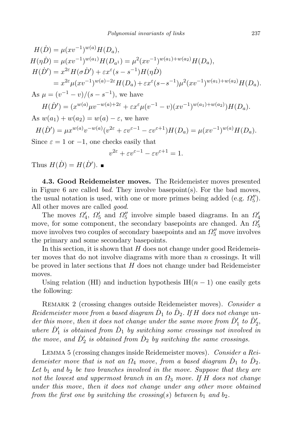$$
H(D) = \mu(xv^{-1})^{w(a)}H(D_a),
$$
  
\n
$$
H(\eta D) = \mu(xv^{-1})^{w(a_1)}H(D_{a^1}) = \mu^2(xv^{-1})^{w(a_1)+w(a_2)}H(D_a),
$$
  
\n
$$
H(D') = x^{2\varepsilon}H(\sigma D') + \varepsilon x^{\varepsilon}(s-s^{-1})H(\eta D)
$$
  
\n
$$
= x^{2\varepsilon}\mu(xv^{-1})^{w(a)-2\varepsilon}H(D_a) + \varepsilon x^{\varepsilon}(s-s^{-1})\mu^2(xv^{-1})^{w(a_1)+w(a_2)}H(D_a).
$$
  
\nAs  $\mu = (v^{-1} - v)/(s - s^{-1})$ , we have  
\n
$$
H(D') = (x^{w(a)}\mu v^{-w(a)+2\varepsilon} + \varepsilon x^{\varepsilon}\mu(v^{-1} - v)(xv^{-1})^{w(a_1)+w(a_2)})H(D_a).
$$
  
\nAs  $w(a_1) + w(a_2) = w(a) - \varepsilon$ , we have  
\n
$$
H(D') = \mu x^{w(a)}v^{-w(a)}(v^{2\varepsilon} + \varepsilon v^{\varepsilon-1} - \varepsilon v^{\varepsilon+1})H(D_a) = \mu(xv^{-1})^{w(a)}H(D_a).
$$

Since  $\varepsilon = 1$  or  $-1$ , one checks easily that

$$
v^{2\varepsilon} + \varepsilon v^{\varepsilon - 1} - \varepsilon v^{\varepsilon + 1} = 1.
$$

Thus  $H(\dot{D}) = H(\dot{D}').$ 

4.3. Good Reidemeister moves. The Reidemeister moves presented in Figure 6 are called *bad*. They involve basepoint(s). For the bad moves, the usual notation is used, with one or more primes being added (e.g.  $\Omega_5''$ ). All other moves are called *good*.

The moves  $\Omega'_4$ ,  $\Omega'_5$  and  $\Omega''_5$  involve simple based diagrams. In an  $\Omega'_4$ move, for some component, the secondary basepoints are changed. An  $\Omega'_5$ move involves two couples of secondary basepoints and an  $\Omega_5''$  move involves the primary and some secondary basepoints.

In this section, it is shown that  $H$  does not change under good Reidemeister moves that do not involve diagrams with more than  $n$  crossings. It will be proved in later sections that  $H$  does not change under bad Reidemeister moves.

Using relation (HI) and induction hypothesis IH $(n-1)$  one easily gets the following:

REMARK 2 (crossing changes outside Reidemeister moves). Consider a  $Reidemeister$  move from a based diagram  $\dot{D}_1$  to  $\dot{D}_2$ . If H does not change under this move, then it does not change under the same move from  $\dot{D}'_1$  to  $\dot{D}'_2$ , where  $\dot{D}'_1$  is obtained from  $\dot{D}_1$  by switching some crossings not involved in the move, and  $\dot{D}'_2$  is obtained from  $\dot{D}_2$  by switching the same crossings.

Lemma 5 (crossing changes inside Reidemeister moves). Consider a Reidemeister move that is not an  $\Omega_4$  move, from a based diagram  $\dot{D}_1$  to  $\dot{D}_2$ . Let  $b_1$  and  $b_2$  be two branches involved in the move. Suppose that they are not the lowest and uppermost branch in an  $\Omega_3$  move. If H does not change under this move, then it does not change under any other move obtained from the first one by switching the crossing(s) between  $b_1$  and  $b_2$ .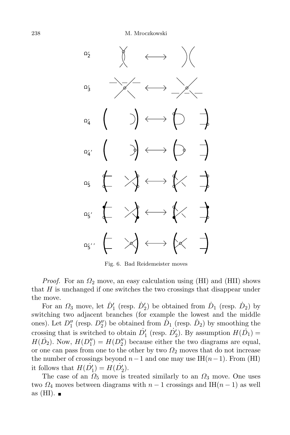

Fig. 6. Bad Reidemeister moves

*Proof.* For an  $\Omega_2$  move, an easy calculation using (HI) and (HII) shows that  $H$  is unchanged if one switches the two crossings that disappear under the move.

For an  $\Omega_3$  move, let  $\dot{D}'_1$  (resp.  $\dot{D}'_2$ ) be obtained from  $\dot{D}_1$  (resp.  $\dot{D}_2$ ) by switching two adjacent branches (for example the lowest and the middle ones). Let  $D_1''$  (resp.  $D_2''$ ) be obtained from  $\dot{D}_1$  (resp.  $\dot{D}_2$ ) by smoothing the crossing that is switched to obtain  $\dot{D}'_1$  (resp.  $\dot{D}'_2$ ). By assumption  $H(\dot{D}_1)$  =  $H(D_2)$ . Now,  $H(D_1'') = H(D_2'')$  because either the two diagrams are equal, or one can pass from one to the other by two  $\Omega_2$  moves that do not increase the number of crossings beyond  $n-1$  and one may use IH $(n-1)$ . From (HI) it follows that  $H(D'_1) = H(D'_2)$ .

The case of an  $\Omega_5$  move is treated similarly to an  $\Omega_3$  move. One uses two  $\Omega_4$  moves between diagrams with  $n-1$  crossings and IH( $n-1$ ) as well as  $(HI)$ .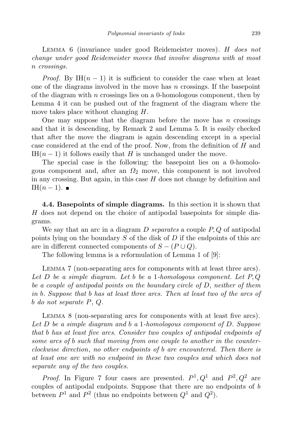LEMMA 6 (invariance under good Reidemeister moves). H does not change under good Reidemeister moves that involve diagrams with at most n crossings.

*Proof.* By IH $(n-1)$  it is sufficient to consider the case when at least one of the diagrams involved in the move has  $n$  crossings. If the basepoint of the diagram with  $n$  crossings lies on a 0-homologous component, then by Lemma 4 it can be pushed out of the fragment of the diagram where the move takes place without changing H.

One may suppose that the diagram before the move has  $n$  crossings and that it is descending, by Remark 2 and Lemma 5. It is easily checked that after the move the diagram is again descending except in a special case considered at the end of the proof. Now, from the definition of H and IH $(n-1)$  it follows easily that H is unchanged under the move.

The special case is the following: the basepoint lies on a 0-homologous component and, after an  $\Omega_2$  move, this component is not involved in any crossing. But again, in this case  $H$  does not change by definition and IH $(n-1)$ . ■

4.4. Basepoints of simple diagrams. In this section it is shown that H does not depend on the choice of antipodal basepoints for simple diagrams.

We say that an arc in a diagram  $D$  separates a couple  $P, Q$  of antipodal points lying on the boundary  $S$  of the disk of  $D$  if the endpoints of this arc are in different connected components of  $S - (P \cup Q)$ .

The following lemma is a reformulation of Lemma 1 of [9]:

LEMMA 7 (non-separating arcs for components with at least three arcs). Let  $D$  be a simple diagram. Let b be a 1-homologous component. Let  $P, Q$ be a couple of antipodal points on the boundary circle of D, neither of them in b. Suppose that b has at least three arcs. Then at least two of the arcs of b do not separate P, Q.

Lemma 8 (non-separating arcs for components with at least five arcs). Let D be a simple diagram and b a 1-homologous component of D. Suppose that b has at least five arcs. Consider two couples of antipodal endpoints of some arcs of b such that moving from one couple to another in the counterclockwise direction, no other endpoints of b are encountered. Then there is at least one arc with no endpoint in these two couples and which does not separate any of the two couples.

*Proof.* In Figure 7 four cases are presented.  $P^1, Q^1$  and  $P^2, Q^2$  are couples of antipodal endpoints. Suppose that there are no endpoints of b between  $P^1$  and  $P^2$  (thus no endpoints between  $Q^1$  and  $Q^2$ ).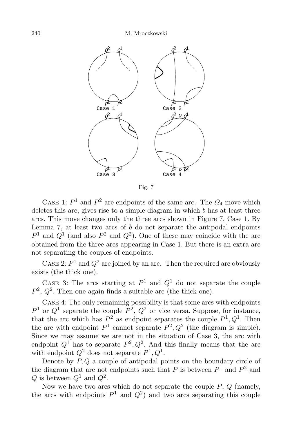

Fig. 7

CASE 1:  $P^1$  and  $P^2$  are endpoints of the same arc. The  $\Omega_4$  move which deletes this arc, gives rise to a simple diagram in which  $b$  has at least three arcs. This move changes only the three arcs shown in Figure 7, Case 1. By Lemma 7, at least two arcs of  $b$  do not separate the antipodal endpoints  $P<sup>1</sup>$  and  $Q<sup>1</sup>$  (and also  $P<sup>2</sup>$  and  $Q<sup>2</sup>$ ). One of these may coincide with the arc obtained from the three arcs appearing in Case 1. But there is an extra arc not separating the couples of endpoints.

CASE 2:  $P<sup>1</sup>$  and  $Q<sup>2</sup>$  are joined by an arc. Then the required arc obviously exists (the thick one).

CASE 3: The arcs starting at  $P^1$  and  $Q^1$  do not separate the couple  $P^2$ ,  $Q^2$ . Then one again finds a suitable arc (the thick one).

Case 4: The only remaininig possibility is that some arcs with endpoints  $P<sup>1</sup>$  or  $Q<sup>1</sup>$  separate the couple  $P<sup>2</sup>$ ,  $Q<sup>2</sup>$  or vice versa. Suppose, for instance, that the arc which has  $P^2$  as endpoint separates the couple  $P^1, Q^1$ . Then the arc with endpoint  $P^1$  cannot separate  $P^2, Q^2$  (the diagram is simple). Since we may assume we are not in the situation of Case 3, the arc with endpoint  $Q^1$  has to separate  $P^2, Q^2$ . And this finally means that the arc with endpoint  $Q^2$  does not separate  $P^1, Q^1$ .

Denote by  $P, Q$  a couple of antipodal points on the boundary circle of the diagram that are not endpoints such that P is between  $P<sup>1</sup>$  and  $P<sup>2</sup>$  and  $Q$  is between  $Q^1$  and  $Q^2$ .

Now we have two arcs which do not separate the couple  $P, Q$  (namely, the arcs with endpoints  $P^1$  and  $Q^2$ ) and two arcs separating this couple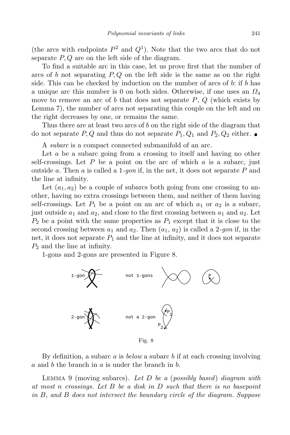(the arcs with endpoints  $P^2$  and  $Q^1$ ). Note that the two arcs that do not separate  $P, Q$  are on the left side of the diagram.

To find a suitable arc in this case, let us prove first that the number of arcs of b not separating  $P, Q$  on the left side is the same as on the right side. This can be checked by induction on the number of arcs of  $b$ : if  $b$  has a unique arc this number is 0 on both sides. Otherwise, if one uses an  $\Omega_4$ move to remove an arc of b that does not separate  $P, Q$  (which exists by Lemma 7), the number of arcs not separating this couple on the left and on the right decreases by one, or remains the same.

Thus there are at least two arcs of b on the right side of the diagram that do not separate P, Q and thus do not separate  $P_1, Q_1$  and  $P_2, Q_2$  either.

A *subarc* is a compact connected submanifold of an arc.

Let a be a subarc going from a crossing to itself and having no other self-crossings. Let  $P$  be a point on the arc of which  $a$  is a subarc, just outside a. Then a is called a 1-gon if, in the net, it does not separate  $P$  and the line at infinity.

Let  $(a_1, a_2)$  be a couple of subarcs both going from one crossing to another, having no extra crossings between them, and neither of them having self-crossings. Let  $P_1$  be a point on an arc of which  $a_1$  or  $a_2$  is a subarc, just outside  $a_1$  and  $a_2$ , and close to the first crossing between  $a_1$  and  $a_2$ . Let  $P_2$  be a point with the same properties as  $P_1$  except that it is close to the second crossing between  $a_1$  and  $a_2$ . Then  $(a_1, a_2)$  is called a 2-*qon* if, in the net, it does not separate  $P_1$  and the line at infinity, and it does not separate  $P_2$  and the line at infinity.

1-gons and 2-gons are presented in Figure 8.



By definition, a subarc  $\alpha$  is *below* a subarc  $\delta$  if at each crossing involving  $a$  and  $b$  the branch in  $a$  is under the branch in  $b$ .

LEMMA 9 (moving subarcs). Let  $D$  be a (possibly based) diagram with at most n crossings. Let B be a disk in D such that there is no basepoint in B, and B does not intersect the boundary circle of the diagram. Suppose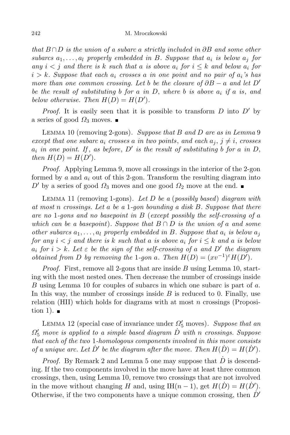that  $B \cap D$  is the union of a subarc a strictly included in ∂B and some other subarcs  $a_1, \ldots, a_l$  properly embedded in B. Suppose that  $a_i$  is below  $a_j$  for any  $i < j$  and there is k such that a is above  $a_i$  for  $i \leq k$  and below  $a_i$  for  $i > k$ . Suppose that each  $a_i$  crosses a in one point and no pair of  $a_i$ 's has more than one common crossing. Let b be the closure of  $\partial B - a$  and let D' be the result of substituting b for a in D, where b is above  $a_i$  if a is, and below otherwise. Then  $H(D) = H(D')$ .

*Proof.* It is easily seen that it is possible to transform  $D$  into  $D'$  by a series of good  $\Omega_3$  moves.

LEMMA 10 (removing 2-gons). Suppose that  $B$  and  $D$  are as in Lemma 9 except that one subarc  $a_i$  crosses a in two points, and each  $a_j$ ,  $j \neq i$ , crosses  $a_i$  in one point. If, as before, D' is the result of substituting b for a in D, then  $H(D) = H(D')$ .

Proof. Applying Lemma 9, move all crossings in the interior of the 2-gon formed by a and  $a_i$  out of this 2-gon. Transform the resulting diagram into D' by a series of good  $\Omega_3$  moves and one good  $\Omega_2$  move at the end.

LEMMA 11 (removing 1-gons). Let  $D$  be a (possibly based) diagram with at most n crossings. Let a be a 1-gon bounding a disk B. Suppose that there are no 1-gons and no basepoint in  $B$  (except possibly the self-crossing of a which can be a basepoint). Suppose that  $B \cap D$  is the union of a and some other subarcs  $a_1, \ldots, a_l$  properly embedded in B. Suppose that  $a_i$  is below  $a_j$ for any  $i < j$  and there is k such that a is above  $a_i$  for  $i \leq k$  and a is below  $a_i$  for  $i > k$ . Let  $\varepsilon$  be the sign of the self-crossing of a and  $D'$  the diagram obtained from D by removing the 1-gon a. Then  $H(D) = (xv^{-1})^{\varepsilon}H(D')$ .

*Proof.* First, remove all 2-gons that are inside  $B$  using Lemma 10, starting with the most nested ones. Then decrease the number of crossings inside B using Lemma 10 for couples of subarcs in which one subarc is part of a. In this way, the number of crossings inside  $B$  is reduced to 0. Finally, use relation (HII) which holds for diagrams with at most n crossings (Proposition 1).  $\blacksquare$ 

LEMMA 12 (special case of invariance under  $\Omega'_5$  moves). Suppose that an  $\Omega_5'$  move is applied to a simple based diagram  $\dot{D}$  with n crossings. Suppose that each of the two 1-homologous components involved in this move consists of a unique arc. Let  $\dot{D}'$  be the diagram after the move. Then  $H(\dot{D}) = H(\dot{D}')$ .

*Proof.* By Remark 2 and Lemma 5 one may suppose that  $\dot{D}$  is descending. If the two components involved in the move have at least three common crossings, then, using Lemma 10, remove two crossings that are not involved in the move without changing H and, using IH(n – 1), get  $H(\dot{D}) = H(\dot{D}')$ . Otherwise, if the two components have a unique common crossing, then  $\dot{D}'$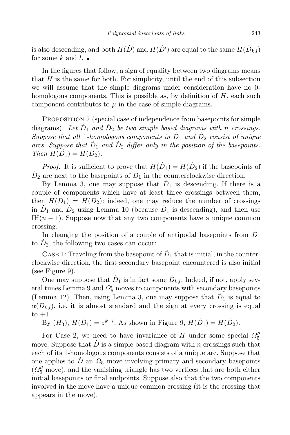is also descending, and both  $H(\dot{D})$  and  $H(\dot{D}')$  are equal to the same  $H(\dot{D}_{k,l})$ for some k and l.  $\blacksquare$ 

In the figures that follow, a sign of equality between two diagrams means that  $H$  is the same for both. For simplicity, until the end of this subsection we will assume that the simple diagrams under consideration have no 0 homologous components. This is possible as, by definition of  $H$ , each such component contributes to  $\mu$  in the case of simple diagrams.

PROPOSITION 2 (special case of independence from basepoints for simple diagrams). Let  $\dot{D}_1$  and  $\dot{D}_2$  be two simple based diagrams with n crossings. Suppose that all 1-homologous components in  $\dot{D}_1$  and  $\dot{D}_2$  consist of unique arcs. Suppose that  $\dot{D}_1$  and  $\dot{D}_2$  differ only in the position of the basepoints. Then  $H(D_1) = H(D_2)$ .

*Proof.* It is sufficient to prove that  $H(D_1) = H(D_2)$  if the basepoints of  $\dot{D}_2$  are next to the basepoints of  $\dot{D}_1$  in the counterclockwise direction.

By Lemma 3, one may suppose that  $\dot{D}_1$  is descending. If there is a couple of components which have at least three crossings between them, then  $H(\dot{D}_1) = H(\dot{D}_2)$ : indeed, one may reduce the number of crossings in  $\dot{D}_1$  and  $\dot{D}_2$  using Lemma 10 (because  $\dot{D}_1$  is descending), and then use IH $(n-1)$ . Suppose now that any two components have a unique common crossing.

In changing the position of a couple of antipodal basepoints from  $\dot{D}_1$ to  $\dot{D}_2$ , the following two cases can occur:

CASE 1: Traveling from the basepoint of  $\dot{D}_1$  that is initial, in the counterclockwise direction, the first secondary basepoint encountered is also initial (see Figure 9).

One may suppose that  $\dot{D}_1$  is in fact some  $\dot{D}_{k,l}$ . Indeed, if not, apply several times Lemma 9 and  $\Omega_5'$  moves to components with secondary basepoints (Lemma 12). Then, using Lemma 3, one may suppose that  $\dot{D}_1$  is equal to  $\alpha(\dot{D}_{k,l})$ , i.e. it is almost standard and the sign at every crossing is equal to  $+1$ .

By  $(H_3)$ ,  $H(D_1) = z^{k+l}$ . As shown in Figure 9,  $H(D_1) = H(D_2)$ .

For Case 2, we need to have invariance of H under some special  $\Omega_5''$ move. Suppose that  $\dot{D}$  is a simple based diagram with n crossings such that each of its 1-homologous components consists of a unique arc. Suppose that one applies to D an  $\Omega_5$  move involving primary and secondary basepoints  $(\Omega_5^{\prime\prime}$  move), and the vanishing triangle has two vertices that are both either initial basepoints or final endpoints. Suppose also that the two components involved in the move have a unique common crossing (it is the crossing that appears in the move).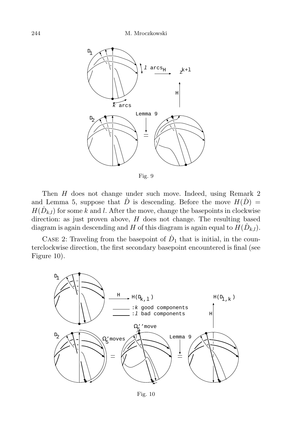

Fig. 9

Then H does not change under such move. Indeed, using Remark 2 and Lemma 5, suppose that  $\dot{D}$  is descending. Before the move  $H(\dot{D}) =$  $H(\dot{D}_{k,l})$  for some k and l. After the move, change the basepoints in clockwise direction: as just proven above,  $H$  does not change. The resulting based diagram is again descending and H of this diagram is again equal to  $H(\dot{D}_{k,l})$ .

CASE 2: Traveling from the basepoint of  $\dot{D}_1$  that is initial, in the counterclockwise direction, the first secondary basepoint encountered is final (see Figure 10).

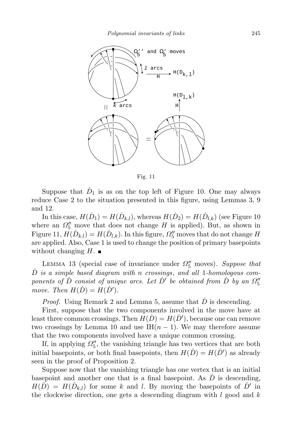

Fig. 11

Suppose that  $\dot{D}_1$  is as on the top left of Figure 10. One may always reduce Case 2 to the situation presented in this figure, using Lemmas 3, 9 and 12.

In this case,  $H(\dot{D}_1) = H(\dot{D}_{k,l})$ , whereas  $H(\dot{D}_2) = H(\dot{D}_{l,k})$  (see Figure 10 where an  $\Omega_5''$  move that does not change H is applied). But, as shown in Figure 11,  $H(\dot{D}_{k,l}) = H(\dot{D}_{l,k})$ . In this figure,  $\Omega_5''$  moves that do not change H are applied. Also, Case 1 is used to change the position of primary basepoints without changing  $H$ .

LEMMA 13 (special case of invariance under  $\Omega_5^{\prime\prime}$  moves). Suppose that  $\dot{D}$  is a simple based diagram with n crossings, and all 1-homologous components of  $\dot{D}$  consist of unique arcs. Let  $\dot{D}'$  be obtained from  $\dot{D}$  by an  $\Omega''_5$ move. Then  $H(\dot{D}) = H(\dot{D}').$ 

*Proof.* Using Remark 2 and Lemma 5, assume that  $\dot{D}$  is descending.

First, suppose that the two components involved in the move have at least three common crossings. Then  $H(D) = H(D')$ , because one can remove two crossings by Lemma 10 and use  $IH(n-1)$ . We may therefore assume that the two components involved have a unique common crossing.

If, in applying  $\Omega_5''$ , the vanishing triangle has two vertices that are both initial basepoints, or both final basepoints, then  $H(D) = H(D')$  as already seen in the proof of Proposition 2.

Suppose now that the vanishing triangle has one vertex that is an initial basepoint and another one that is a final basepoint. As  $\dot{D}$  is descending,  $H(\tilde{D}) = H(\tilde{D}_{k,l})$  for some k and l. By moving the basepoints of  $\tilde{D}'$  in the clockwise direction, one gets a descending diagram with  $l$  good and  $k$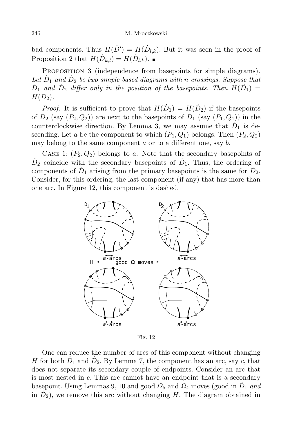bad components. Thus  $H(D') = H(D_{l,k})$ . But it was seen in the proof of Proposition 2 that  $H(\dot{D}_{k,l}) = H(\dot{D}_{l,k}).$ 

PROPOSITION 3 (independence from basepoints for simple diagrams). Let  $\dot{D}_1$  and  $\dot{D}_2$  be two simple based diagrams with n crossings. Suppose that  $\dot{D}_1$  and  $\dot{D}_2$  differ only in the position of the basepoints. Then  $H(\dot{D_1}) =$  $H(\dot{D}_2)$ .

*Proof.* It is sufficient to prove that  $H(D_1) = H(D_2)$  if the basepoints of  $\dot{D}_2$  (say  $(P_2, Q_2)$ ) are next to the basepoints of  $\dot{D}_1$  (say  $(P_1, Q_1)$ ) in the counterclockwise direction. By Lemma 3, we may assume that  $\dot{D}_1$  is descending. Let a be the component to which  $(P_1, Q_1)$  belongs. Then  $(P_2, Q_2)$ may belong to the same component  $a$  or to a different one, say  $b$ .

CASE 1:  $(P_2, Q_2)$  belongs to a. Note that the secondary basepoints of  $\dot{D}_2$  coincide with the secondary basepoints of  $\dot{D}_1$ . Thus, the ordering of components of  $\dot{D}_1$  arising from the primary basepoints is the same for  $\dot{D}_2$ . Consider, for this ordering, the last component (if any) that has more than one arc. In Figure 12, this component is dashed.



Fig. 12

One can reduce the number of arcs of this component without changing H for both  $\dot{D}_1$  and  $\dot{D}_2$ . By Lemma 7, the component has an arc, say c, that does not separate its secondary couple of endpoints. Consider an arc that is most nested in c. This arc cannot have an endpoint that is a secondary basepoint. Using Lemmas 9, 10 and good  $\Omega_5$  and  $\Omega_4$  moves (good in  $\dot{D}_1$  and in  $\dot{D}_2$ , we remove this arc without changing H. The diagram obtained in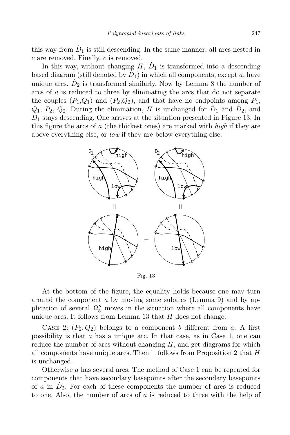this way from  $\dot{D}_1$  is still descending. In the same manner, all arcs nested in  $c$  are removed. Finally,  $c$  is removed.

In this way, without changing  $H, \dot{D}_1$  is transformed into a descending based diagram (still denoted by  $\dot{D}_1$ ) in which all components, except a, have unique arcs.  $\dot{D}_2$  is transformed similarly. Now by Lemma 8 the number of arcs of a is reduced to three by eliminating the arcs that do not separate the couples  $(P_1,Q_1)$  and  $(P_2,Q_2)$ , and that have no endpoints among  $P_1$ ,  $Q_1, P_2, Q_2$ . During the elimination, H is unchanged for  $\dot{D}_1$  and  $\dot{D}_2$ , and  $\dot{D_1}$  stays descending. One arrives at the situation presented in Figure 13. In this figure the arcs of  $\alpha$  (the thickest ones) are marked with  $high$  if they are above everything else, or low if they are below everything else.



Fig. 13

At the bottom of the figure, the equality holds because one may turn around the component a by moving some subarcs (Lemma 9) and by application of several  $\Omega_5^{\prime\prime}$  moves in the situation where all components have unique arcs. It follows from Lemma 13 that  $H$  does not change.

CASE 2:  $(P_2, Q_2)$  belongs to a component b different from a. A first possibility is that  $a$  has a unique arc. In that case, as in Case 1, one can reduce the number of arcs without changing  $H$ , and get diagrams for which all components have unique arcs. Then it follows from Proposition 2 that  $H$ is unchanged.

Otherwise a has several arcs. The method of Case 1 can be repeated for components that have secondary basepoints after the secondary basepoints of a in  $\dot{D}_2$ . For each of these components the number of arcs is reduced to one. Also, the number of arcs of  $a$  is reduced to three with the help of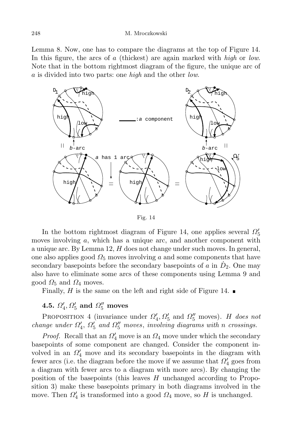Lemma 8. Now, one has to compare the diagrams at the top of Figure 14. In this figure, the arcs of a (thickest) are again marked with high or low. Note that in the bottom rightmost diagram of the figure, the unique arc of a is divided into two parts: one high and the other low.



Fig. 14

In the bottom rightmost diagram of Figure 14, one applies several  $\Omega'_5$ moves involving  $a$ , which has a unique arc, and another component with a unique arc. By Lemma 12,  $H$  does not change under such moves. In general, one also applies good  $\Omega_5$  moves involving a and some components that have secondary basepoints before the secondary basepoints of a in  $\dot{D}_2$ . One may also have to eliminate some arcs of these components using Lemma 9 and good  $\Omega_5$  and  $\Omega_4$  moves.

Finally, H is the same on the left and right side of Figure 14.  $\blacksquare$ 

# 4.5.  $\Omega'_4$ ,  $\Omega'_5$  and  $\Omega''_5$  moves

PROPOSITION 4 (invariance under  $\Omega'_4, \Omega'_5$  and  $\Omega''_5$  moves). H does not change under  $\Omega'_4$ ,  $\Omega'_5$  and  $\Omega''_5$  moves, involving diagrams with n crossings.

*Proof.* Recall that an  $\Omega_4'$  move is an  $\Omega_4$  move under which the secondary basepoints of some component are changed. Consider the component involved in an  $\Omega_4'$  move and its secondary basepoints in the diagram with fewer arcs (i.e. the diagram before the move if we assume that  $\Omega_4'$  goes from a diagram with fewer arcs to a diagram with more arcs). By changing the position of the basepoints (this leaves  $H$  unchanged according to Proposition 3) make these basepoints primary in both diagrams involved in the move. Then  $\Omega'_4$  is transformed into a good  $\Omega_4$  move, so H is unchanged.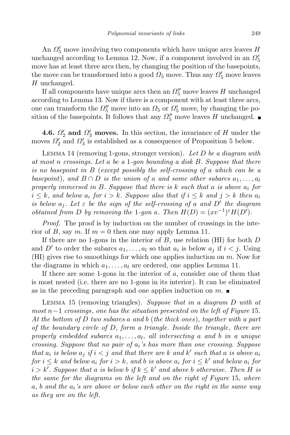An  $\Omega'_5$  move involving two components which have unique arcs leaves  $H$ unchanged according to Lemma 12. Now, if a component involved in an  $\Omega'_5$ move has at least three arcs then, by changing the position of the basepoints, the move can be transformed into a good  $\Omega_5$  move. Thus any  $\Omega_5'$  move leaves H unchanged.

If all components have unique arcs then an  $\Omega_5^{\prime\prime}$  move leaves  $H$  unchanged according to Lemma 13. Now if there is a component with at least three arcs, one can transform the  $\Omega_5''$  move into an  $\Omega_5$  or  $\Omega_5'$  move, by changing the position of the basepoints. It follows that any  $\Omega_5''$  move leaves H unchanged.

**4.6.**  $\Omega'_2$  and  $\Omega'_3$  moves. In this section, the invariance of H under the moves  $\Omega_2'$  and  $\Omega_3'$  is established as a consequence of Proposition 5 below.

LEMMA 14 (removing 1-gons, stronger version). Let  $D$  be a diagram with at most n crossings. Let a be a 1-gon bounding a disk  $B$ . Suppose that there is no basepoint in B (except possibly the self-crossing of a which can be a basepoint), and  $B \cap D$  is the union of a and some other subarcs  $a_1, \ldots, a_l$ properly immersed in  $B$ . Suppose that there is  $k$  such that a is above  $a_i$  for  $i \leq k$ , and below  $a_i$  for  $i > k$ . Suppose also that if  $i \leq k$  and  $j > k$  then  $a_i$ is below  $a_j$ . Let  $\varepsilon$  be the sign of the self-crossing of a and  $D'$  the diagram *obtained from D by removing the 1-gon a. Then*  $H(D) = (xv^{-1})^{\varepsilon}H(D')$ .

Proof. The proof is by induction on the number of crossings in the interior of B, say m. If  $m = 0$  then one may apply Lemma 11.

If there are no 1-gons in the interior of  $B$ , use relation (HI) for both  $D$ and D' to order the subarcs  $a_1, \ldots, a_l$  so that  $a_i$  is below  $a_j$  if  $i < j$ . Using  $(HI)$  gives rise to smoothings for which one applies induction on m. Now for the diagrams in which  $a_1, \ldots, a_l$  are ordered, one applies Lemma 11.

If there are some 1-gons in the interior of  $a$ , consider one of them that is most nested (i.e. there are no 1-gons in its interior). It can be eliminated as in the preceding paragraph and one applies induction on  $m$ .

LEMMA 15 (removing triangles). Suppose that in a diagram D with at  $most n-1$  crossings, one has the situation presented on the left of Figure 15. At the bottom of D two subarcs a and b (the thick ones), together with a part of the boundary circle of  $D$ , form a triangle. Inside the triangle, there are properly embedded subarcs  $a_1, \ldots, a_l$ , all intersecting a and b in a unique crossing. Suppose that no pair of  $a_i$ 's has more than one crossing. Suppose that  $a_i$  is below  $a_j$  if  $i < j$  and that there are k and k' such that a is above  $a_i$ for  $i \leq k$  and below  $a_i$  for  $i > k$ , and b is above  $a_i$  for  $i \leq k'$  and below  $a_i$  for  $i > k'$ . Suppose that a is below b if  $k \leq k'$  and above b otherwise. Then H is the same for the diagrams on the left and on the right of Figure 15, where  $a, b$  and the  $a_i$ 's are above or below each other on the right in the same way as they are on the left.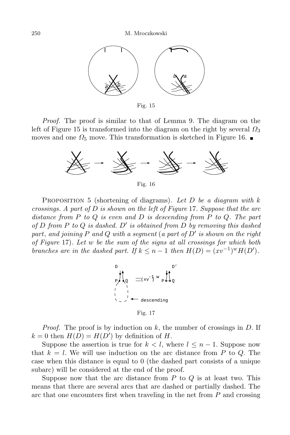

Fig. 15

Proof. The proof is similar to that of Lemma 9. The diagram on the left of Figure 15 is transformed into the diagram on the right by several  $\Omega_3$ moves and one  $\Omega_5$  move. This transformation is sketched in Figure 16.



Fig. 16

PROPOSITION 5 (shortening of diagrams). Let  $D$  be a diagram with  $k$ crossings. A part of  $D$  is shown on the left of Figure 17. Suppose that the arc distance from  $P$  to  $Q$  is even and  $D$  is descending from  $P$  to  $Q$ . The part of D from P to Q is dashed. D' is obtained from D by removing this dashed part, and joining P and Q with a segment (a part of  $D'$  is shown on the right of Figure 17). Let w be the sum of the signs at all crossings for which both branches are in the dashed part. If  $k \leq n-1$  then  $H(D) = (xv^{-1})^w H(D')$ .



Fig. 17

*Proof.* The proof is by induction on  $k$ , the number of crossings in  $D$ . If  $k = 0$  then  $H(D) = H(D')$  by definition of H.

Suppose the assertion is true for  $k < l$ , where  $l \leq n - 1$ . Suppose now that  $k = l$ . We will use induction on the arc distance from P to Q. The case when this distance is equal to 0 (the dashed part consists of a unique subarc) will be considered at the end of the proof.

Suppose now that the arc distance from  $P$  to  $Q$  is at least two. This means that there are several arcs that are dashed or partially dashed. The arc that one encounters first when traveling in the net from  $P$  and crossing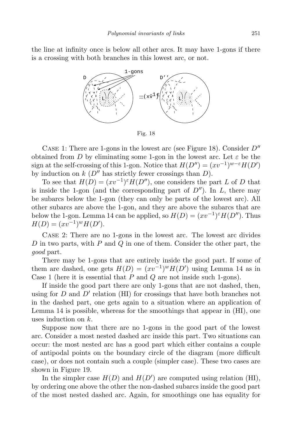the line at infinity once is below all other arcs. It may have 1-gons if there is a crossing with both branches in this lowest arc, or not.



Fig. 18

CASE 1: There are 1-gons in the lowest arc (see Figure 18). Consider  $D''$ obtained from D by eliminating some 1-gon in the lowest arc. Let  $\varepsilon$  be the sign at the self-crossing of this 1-gon. Notice that  $H(D'') = (xv^{-1})^{w-\varepsilon}H(D')$ by induction on  $k$  ( $D''$  has strictly fewer crossings than  $D$ ).

To see that  $H(D) = (xv^{-1})^{\varepsilon}H(D'')$ , one considers the part L of D that is inside the 1-gon (and the corresponding part of  $D''$ ). In L, there may be subarcs below the 1-gon (they can only be parts of the lowest arc). All other subarcs are above the 1-gon, and they are above the subarcs that are below the 1-gon. Lemma 14 can be applied, so  $H(D) = (xv^{-1})^{\varepsilon}H(D'')$ . Thus  $H(D) = (xv^{-1})^w H(D').$ 

Case 2: There are no 1-gons in the lowest arc. The lowest arc divides D in two parts, with  $P$  and  $Q$  in one of them. Consider the other part, the good part.

There may be 1-gons that are entirely inside the good part. If some of them are dashed, one gets  $H(D) = (xv^{-1})^w H(D')$  using Lemma 14 as in Case 1 (here it is essential that  $P$  and  $Q$  are not inside such 1-gons).

If inside the good part there are only 1-gons that are not dashed, then, using for  $D$  and  $D'$  relation (HI) for crossings that have both branches not in the dashed part, one gets again to a situation where an application of Lemma 14 is possible, whereas for the smoothings that appear in (HI), one uses induction on k.

Suppose now that there are no 1-gons in the good part of the lowest arc. Consider a most nested dashed arc inside this part. Two situations can occur: the most nested arc has a good part which either contains a couple of antipodal points on the boundary circle of the diagram (more difficult case), or does not contain such a couple (simpler case). These two cases are shown in Figure 19.

In the simpler case  $H(D)$  and  $H(D')$  are computed using relation (HI), by ordering one above the other the non-dashed subarcs inside the good part of the most nested dashed arc. Again, for smoothings one has equality for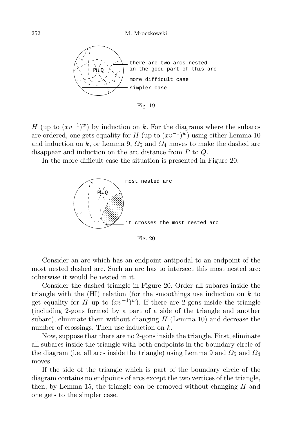252 M. Mroczkowski



Fig. 19

H (up to  $(xv^{-1})^w$ ) by induction on k. For the diagrams where the subarcs are ordered, one gets equality for  $H$  (up to  $(xv^{-1})^w$ ) using either Lemma 10 and induction on k, or Lemma 9,  $\Omega_5$  and  $\Omega_4$  moves to make the dashed arc disappear and induction on the arc distance from P to Q.

In the more difficult case the situation is presented in Figure 20.



Fig. 20

Consider an arc which has an endpoint antipodal to an endpoint of the most nested dashed arc. Such an arc has to intersect this most nested arc: otherwise it would be nested in it.

Consider the dashed triangle in Figure 20. Order all subarcs inside the triangle with the  $(HI)$  relation (for the smoothings use induction on k to get equality for H up to  $(xv^{-1})^w$ ). If there are 2-gons inside the triangle (including 2-gons formed by a part of a side of the triangle and another subarc), eliminate them without changing  $H$  (Lemma 10) and decrease the number of crossings. Then use induction on k.

Now, suppose that there are no 2-gons inside the triangle. First, eliminate all subarcs inside the triangle with both endpoints in the boundary circle of the diagram (i.e. all arcs inside the triangle) using Lemma 9 and  $\Omega_5$  and  $\Omega_4$ moves.

If the side of the triangle which is part of the boundary circle of the diagram contains no endpoints of arcs except the two vertices of the triangle, then, by Lemma 15, the triangle can be removed without changing  $H$  and one gets to the simpler case.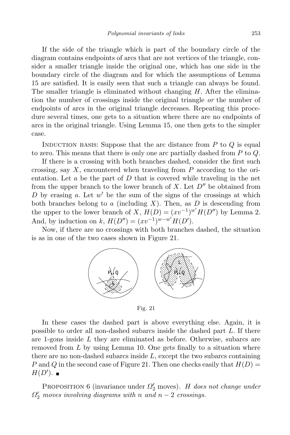If the side of the triangle which is part of the boundary circle of the diagram contains endpoints of arcs that are not vertices of the triangle, consider a smaller triangle inside the original one, which has one side in the boundary circle of the diagram and for which the assumptions of Lemma 15 are satisfied. It is easily seen that such a triangle can always be found. The smaller triangle is eliminated without changing  $H$ . After the elimination the number of crossings inside the original triangle or the number of endpoints of arcs in the original triangle decreases. Repeating this procedure several times, one gets to a situation where there are no endpoints of arcs in the original triangle. Using Lemma 15, one then gets to the simpler case.

INDUCTION BASIS: Suppose that the arc distance from  $P$  to  $Q$  is equal to zero. This means that there is only one arc partially dashed from  $P$  to  $Q$ .

If there is a crossing with both branches dashed, consider the first such crossing, say  $X$ , encountered when traveling from  $P$  according to the orientation. Let  $a$  be the part of  $D$  that is covered while traveling in the net from the upper branch to the lower branch of  $X$ . Let  $D''$  be obtained from D by erasing a. Let  $w'$  be the sum of the signs of the crossings at which both branches belong to  $a$  (including  $X$ ). Then, as  $D$  is descending from the upper to the lower branch of X,  $H(D) = (xv^{-1})^{w'} H(D'')$  by Lemma 2. And, by induction on k,  $H(D'') = (xv^{-1})^{w-w'}H(D')$ .

Now, if there are no crossings with both branches dashed, the situation is as in one of the two cases shown in Figure 21.



Fig. 21

In these cases the dashed part is above everything else. Again, it is possible to order all non-dashed subarcs inside the dashed part L. If there are 1-gons inside L they are eliminated as before. Otherwise, subarcs are removed from  $L$  by using Lemma 10. One gets finally to a situation where there are no non-dashed subarcs inside  $L$ , except the two subarcs containing P and Q in the second case of Figure 21. Then one checks easily that  $H(D) =$  $H(D^{\prime}).$ 

PROPOSITION 6 (invariance under  $\Omega_2'$  moves). H does not change under  $\Omega_2'$  moves involving diagrams with n and  $n-2$  crossings.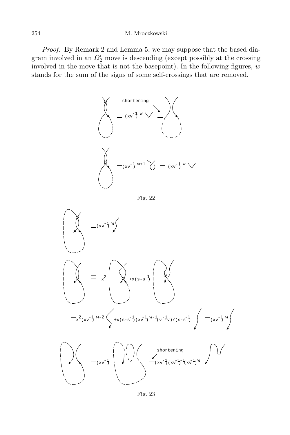### 254 M. Mroczkowski

Proof. By Remark 2 and Lemma 5, we may suppose that the based diagram involved in an  $\Omega_2'$  move is descending (except possibly at the crossing involved in the move that is not the basepoint). In the following figures,  $w$ stands for the sum of the signs of some self-crossings that are removed.



Fig. 22

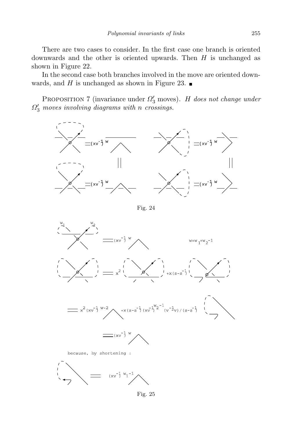There are two cases to consider. In the first case one branch is oriented downwards and the other is oriented upwards. Then  $H$  is unchanged as shown in Figure 22.

In the second case both branches involved in the move are oriented downwards, and H is unchanged as shown in Figure 23.

PROPOSITION 7 (invariance under  $\Omega'_3$  moves). H does not change under  $\Omega_3'$  moves involving diagrams with n crossings.



Fig. 24



Fig. 25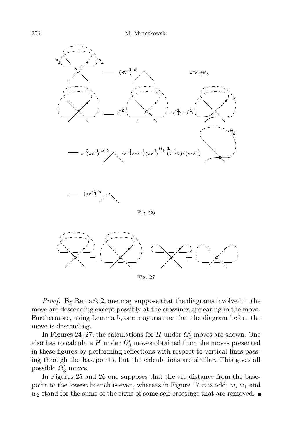

Proof. By Remark 2, one may suppose that the diagrams involved in the move are descending except possibly at the crossings appearing in the move. Furthermore, using Lemma 5, one may assume that the diagram before the move is descending.

In Figures 24–27, the calculations for  $H$  under  $\Omega'_3$  moves are shown. One also has to calculate  $H$  under  $\Omega'_{3}$  moves obtained from the moves presented in these figures by performing reflections with respect to vertical lines passing through the basepoints, but the calculations are similar. This gives all possible  $\Omega'_3$  moves.

In Figures 25 and 26 one supposes that the arc distance from the basepoint to the lowest branch is even, whereas in Figure 27 it is odd;  $w, w_1$  and  $w_2$  stand for the sums of the signs of some self-crossings that are removed.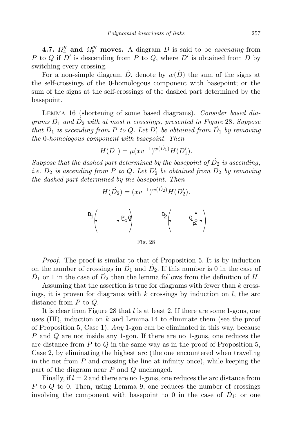**4.7.**  $\Omega_4''$  and  $\Omega_5'''$  moves. A diagram D is said to be ascending from P to Q if  $D'$  is descending from P to Q, where  $D'$  is obtained from D by switching every crossing.

For a non-simple diagram  $\dot{D}$ , denote by  $w(\dot{D})$  the sum of the signs at the self-crossings of the 0-homologous component with basepoint; or the sum of the signs at the self-crossings of the dashed part determined by the basepoint.

Lemma 16 (shortening of some based diagrams). Consider based diagrams  $\dot{D}_1$  and  $\dot{D}_2$  with at most n crossings, presented in Figure 28. Suppose that  $\dot{D_1}$  is ascending from P to Q. Let  $D_1'$  be obtained from  $\dot{D_1}$  by removing the 0-homologous component with basepoint. Then

$$
H(D_1) = \mu(xv^{-1})^{w(D_1)}H(D_1').
$$

Suppose that the dashed part determined by the basepoint of  $\dot{D_2}$  is ascending, i.e.  $\dot{D_2}$  is ascending from P to Q. Let  $D_2'$  be obtained from  $\dot{D_2}$  by removing the dashed part determined by the basepoint. Then

$$
H(D_2) = (xv^{-1})^{w(D_2)}H(D_2').
$$



Fig. 28

Proof. The proof is similar to that of Proposition 5. It is by induction on the number of crossings in  $\dot{D}_1$  and  $\dot{D}_2$ . If this number is 0 in the case of  $\dot{D}_1$  or 1 in the case of  $\dot{D}_2$  then the lemma follows from the definition of H.

Assuming that the assertion is true for diagrams with fewer than k crossings, it is proven for diagrams with k crossings by induction on  $l$ , the arc distance from P to Q.

It is clear from Figure 28 that l is at least 2. If there are some 1-gons, one uses  $(HI)$ , induction on k and Lemma 14 to eliminate them (see the proof of Proposition 5, Case 1). Any 1-gon can be eliminated in this way, because P and Q are not inside any 1-gon. If there are no 1-gons, one reduces the arc distance from  $P$  to  $Q$  in the same way as in the proof of Proposition 5, Case 2, by eliminating the highest arc (the one encountered when traveling in the net from  $P$  and crossing the line at infinity once), while keeping the part of the diagram near  $P$  and  $Q$  unchanged.

Finally, if  $l = 2$  and there are no 1-gons, one reduces the arc distance from P to Q to 0. Then, using Lemma 9, one reduces the number of crossings involving the component with basepoint to 0 in the case of  $\dot{D}_1$ ; or one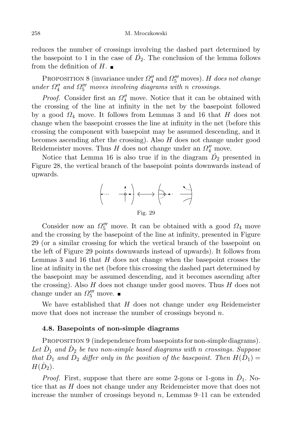reduces the number of crossings involving the dashed part determined by the basepoint to 1 in the case of  $\dot{D}_2$ . The conclusion of the lemma follows from the definition of  $H$ .

PROPOSITION 8 (invariance under  $\Omega_4''$  and  $\Omega_5'''$  moves). H does not change under  $\Omega_4''$  and  $\Omega_5'''$  moves involving diagrams with n crossings.

*Proof.* Consider first an  $\Omega_4''$  move. Notice that it can be obtained with the crossing of the line at infinity in the net by the basepoint followed by a good  $\Omega_4$  move. It follows from Lemmas 3 and 16 that H does not change when the basepoint crosses the line at infinity in the net (before this crossing the component with basepoint may be assumed descending, and it becomes ascending after the crossing). Also  $H$  does not change under good Reidemeister moves. Thus H does not change under an  $\Omega_4''$  move.

Notice that Lemma 16 is also true if in the diagram  $\dot{D}_2$  presented in Figure 28, the vertical branch of the basepoint points downwards instead of upwards.



Consider now an  $\Omega_5^{\prime\prime\prime}$  move. It can be obtained with a good  $\Omega_4$  move and the crossing by the basepoint of the line at infinity, presented in Figure 29 (or a similar crossing for which the vertical branch of the basepoint on the left of Figure 29 points downwards instead of upwards). It follows from Lemmas 3 and 16 that  $H$  does not change when the basepoint crosses the line at infinity in the net (before this crossing the dashed part determined by the basepoint may be assumed descending, and it becomes ascending after the crossing). Also  $H$  does not change under good moves. Thus  $H$  does not change under an  $\Omega_5^{\prime\prime\prime}$  move.

We have established that  $H$  does not change under *any* Reidemeister move that does not increase the number of crossings beyond  $n$ .

### 4.8. Basepoints of non-simple diagrams

PROPOSITION 9 (independence from basepoints for non-simple diagrams). Let  $\dot{D}_1$  and  $\dot{D}_2$  be two non-simple based diagrams with n crossings. Suppose that  $\dot{D}_1$  and  $\dot{D}_2$  differ only in the position of the basepoint. Then  $H(\dot{D}_1)$  $H(\dot{D}_2)$ .

*Proof.* First, suppose that there are some 2-gons or 1-gons in  $\dot{D}_1$ . Notice that as H does not change under any Reidemeister move that does not increase the number of crossings beyond n, Lemmas  $9-11$  can be extended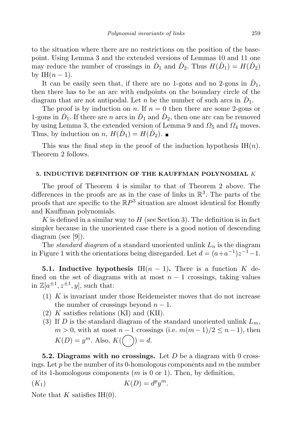to the situation where there are no restrictions on the position of the basepoint. Using Lemma 3 and the extended versions of Lemmas 10 and 11 one may reduce the number of crossings in  $\dot{D}_1$  and  $\dot{D}_2$ . Thus  $H(\dot{D}_1) = H(\dot{D}_2)$ by IH $(n-1)$ .

It can be easily seen that, if there are no 1-gons and no 2-gons in  $\dot{D}_1$ , then there has to be an arc with endpoints on the boundary circle of the diagram that are not antipodal. Let  $n$  be the number of such arcs in  $\dot{D}_1$ .

The proof is by induction on n. If  $n = 0$  then there are some 2-gons or 1-gons in  $\dot{D}_1$ . If there are *n* arcs in  $\dot{D}_1$  and  $\dot{D}_2$ , then one arc can be removed by using Lemma 3, the extended version of Lemma 9 and  $\Omega_5$  and  $\Omega_4$  moves. Thus, by induction on n,  $H(\dot{D}_1) = H(\dot{D}_2)$ .

This was the final step in the proof of the induction hypothesis  $H(n)$ . Theorem 2 follows.

### 5. INDUCTIVE DEFINITION OF THE KAUFFMAN POLYNOMIAL K

The proof of Theorem 4 is similar to that of Theorem 2 above. The differences in the proofs are as in the case of links in  $\mathbb{R}^3$ . The parts of the proofs that are specific to the  $\mathbb{R}P^3$  situation are almost identical for Homfly and Kauffman polynomials.

K is defined in a similar way to  $H$  (see Section 3). The definition is in fact simpler because in the unoriented case there is a good notion of descending diagram (see [9]).

The *standard diagram* of a standard unoriented unlink  $L_n$  is the diagram in Figure 1 with the orientations being disregarded. Let  $d = (a+a^{-1})z^{-1} - 1$ .

**5.1.** Inductive hypothesis IH $(n-1)$ . There is a function K defined on the set of diagrams with at most  $n-1$  crossings, taking values in  $\mathbb{Z}[a^{\pm 1}, z^{\pm 1}, y]$ , such that:

- $(1)$  K is invariant under those Reidemeister moves that do not increase the number of crossings beyond  $n-1$ .
- $(2)$  K satisfies relations  $(KI)$  and  $(KII)$ .
- (3) If D is the standard diagram of the standard unoriented unlink  $L_m$ ,  $m > 0$ , with at most  $n - 1$  crossings (i.e.  $m(m - 1)/2 \leq n - 1$ ), then  $K(D) = y^m$ . Also,  $K((-)) = d$ .

**5.2. Diagrams with no crossings.** Let D be a diagram with 0 crossings. Let  $p$  be the number of its 0-homologous components and  $m$  the number of its 1-homologous components  $(m \text{ is } 0 \text{ or } 1)$ . Then, by definition,

$$
(K_1) \t K(D) = d^p y^m.
$$

Note that K satisfies IH $(0)$ .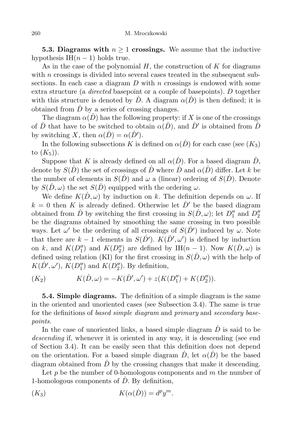**5.3. Diagrams with**  $n \geq 1$  crossings. We assume that the inductive hypothesis IH $(n-1)$  holds true.

As in the case of the polynomial  $H$ , the construction of  $K$  for diagrams with  $n$  crossings is divided into several cases treated in the subsequent subsections. In each case a diagram  $D$  with n crossings is endowed with some extra structure (a *directed* basepoint or a couple of basepoints). D together with this structure is denoted by  $\dot{D}$ . A diagram  $\alpha(\dot{D})$  is then defined; it is obtained from  $\dot{D}$  by a series of crossing changes.

The diagram  $\alpha(\dot{D})$  has the following property: if X is one of the crossings of  $\dot{D}$  that have to be switched to obtain  $\alpha(\dot{D})$ , and  $\dot{D}'$  is obtained from  $\dot{D}$ by switching X, then  $\alpha(\dot{D}) = \alpha(\dot{D}')$ .

In the following subsections K is defined on  $\alpha(\dot{D})$  for each case (see  $(K_3)$ ) to  $(K_5)$ ).

Suppose that K is already defined on all  $\alpha(D)$ . For a based diagram  $\dot{D}$ , denote by  $S(\dot{D})$  the set of crossings of  $\dot{D}$  where  $\dot{D}$  and  $\alpha(\dot{D})$  differ. Let k be the number of elements in  $S(\dot{D})$  and  $\omega$  a (linear) ordering of  $S(\dot{D})$ . Denote by  $S(\dot{D}, \omega)$  the set  $S(\dot{D})$  equipped with the ordering  $\omega$ .

We define  $K(\dot{D}, \omega)$  by induction on k. The definition depends on  $\omega$ . If  $k = 0$  then K is already defined. Otherwise let  $\dot{D}'$  be the based diagram obtained from  $\dot{D}$  by switching the first crossing in  $S(\dot{D}, \omega)$ ; let  $D''_1$  and  $D''_2$ be the diagrams obtained by smoothing the same crossing in two possible ways. Let  $\omega'$  be the ordering of all crossings of  $S(\dot{D}')$  induced by  $\omega$ . Note that there are  $k-1$  elements in  $S(D')$ .  $K(D', \omega')$  is defined by induction on k, and  $K(D_1'')$  and  $K(D_2'')$  are defined by IH $(n-1)$ . Now  $K(D, \omega)$  is defined using relation (KI) for the first crossing in  $S(\dot{D}, \omega)$  with the help of  $K(D', \omega')$ ,  $K(D''_1)$  and  $K(D''_2)$ . By definition,

$$
(K_2) \t K(\dot{D}, \omega) = -K(\dot{D}', \omega') + z(K(D''_1) + K(D''_2)).
$$

**5.4. Simple diagrams.** The definition of a simple diagram is the same in the oriented and unoriented cases (see Subsection 3.4). The same is true for the definitions of based simple diagram and primary and secondary basepoints.

In the case of unoriented links, a based simple diagram  $\dot{D}$  is said to be descending if, whenever it is oriented in any way, it is descending (see end of Section 3.4). It can be easily seen that this definition does not depend on the orientation. For a based simple diagram  $\dot{D}$ , let  $\alpha(\dot{D})$  be the based diagram obtained from  $\ddot{D}$  by the crossing changes that make it descending.

Let  $p$  be the number of 0-homologous components and  $m$  the number of 1-homologous components of  $\dot{D}$ . By definition,

$$
(K_3) \t K(\alpha(\dot{D})) = d^p y^m.
$$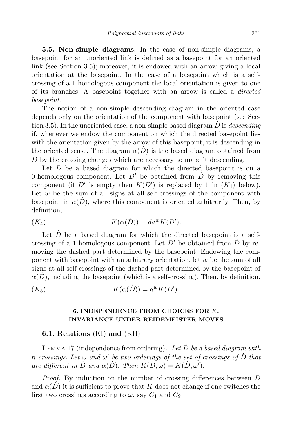5.5. Non-simple diagrams. In the case of non-simple diagrams, a basepoint for an unoriented link is defined as a basepoint for an oriented link (see Section 3.5); moreover, it is endowed with an arrow giving a local orientation at the basepoint. In the case of a basepoint which is a selfcrossing of a 1-homologous component the local orientation is given to one of its branches. A basepoint together with an arrow is called a directed basepoint.

The notion of a non-simple descending diagram in the oriented case depends only on the orientation of the component with basepoint (see Section 3.5). In the unoriented case, a non-simple based diagram  $\dot{D}$  is *descending* if, whenever we endow the component on which the directed basepoint lies with the orientation given by the arrow of this basepoint, it is descending in the oriented sense. The diagram  $\alpha(D)$  is the based diagram obtained from  $\dot{D}$  by the crossing changes which are necessary to make it descending.

Let  $D$  be a based diagram for which the directed basepoint is on a 0-homologous component. Let  $D'$  be obtained from  $D'$  by removing this component (if D' is empty then  $K(D')$  is replaced by 1 in  $(K_4)$  below). Let  $w$  be the sum of all signs at all self-crossings of the component with basepoint in  $\alpha(D)$ , where this component is oriented arbitrarily. Then, by definition,

$$
(K_4) \t K(\alpha(\dot{D})) = da^w K(D').
$$

Let  $\dot{D}$  be a based diagram for which the directed basepoint is a selfcrossing of a 1-homologous component. Let  $D'$  be obtained from  $D'$  by removing the dashed part determined by the basepoint. Endowing the component with basepoint with an arbitrary orientation, let  $w$  be the sum of all signs at all self-crossings of the dashed part determined by the basepoint of  $\alpha(D)$ , including the basepoint (which is a self-crossing). Then, by definition,

$$
(K_5) \t K(\alpha(\dot{D})) = a^w K(D').
$$

# 6. INDEPENDENCE FROM CHOICES FOR  $K$ , INVARIANCE UNDER REIDEMEISTER MOVES

### 6.1. Relations (KI) and (KII)

LEMMA 17 (independence from ordering). Let  $D$  be a based diagram with n crossings. Let  $\omega$  and  $\omega'$  be two orderings of the set of crossings of  $\dot{D}$  that are different in  $\dot{D}$  and  $\alpha(\dot{D})$ . Then  $K(\dot{D}, \omega) = K(\dot{D}, \omega')$ .

*Proof.* By induction on the number of crossing differences between  $D$ and  $\alpha(D)$  it is sufficient to prove that K does not change if one switches the first two crossings according to  $\omega$ , say  $C_1$  and  $C_2$ .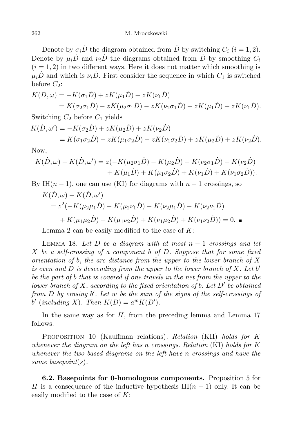Denote by  $\sigma_i \dot{D}$  the diagram obtained from  $\dot{D}$  by switching  $C_i$   $(i = 1, 2)$ . Denote by  $\mu_i \dot{D}$  and  $\nu_i \dot{D}$  the diagrams obtained from  $\dot{D}$  by smoothing  $C_i$  $(i = 1, 2)$  in two different ways. Here it does not matter which smoothing is  $\mu_i \dot{D}$  and which is  $\nu_i \dot{D}$ . First consider the sequence in which  $C_1$  is switched before  $C_2$ :

$$
K(\dot{D}, \omega) = -K(\sigma_1 \dot{D}) + zK(\mu_1 \dot{D}) + zK(\nu_1 \dot{D})
$$
  
=  $K(\sigma_2 \sigma_1 \dot{D}) - zK(\mu_2 \sigma_1 \dot{D}) - zK(\nu_2 \sigma_1 \dot{D}) + zK(\mu_1 \dot{D}) + zK(\nu_1 \dot{D}).$ 

Switching  $C_2$  before  $C_1$  yields

$$
K(\dot{D}, \omega') = -K(\sigma_2 \dot{D}) + zK(\mu_2 \dot{D}) + zK(\nu_2 \dot{D})
$$
  
=  $K(\sigma_1 \sigma_2 \dot{D}) - zK(\mu_1 \sigma_2 \dot{D}) - zK(\nu_1 \sigma_2 \dot{D}) + zK(\mu_2 \dot{D}) + zK(\nu_2 \dot{D}).$ 

Now,

$$
K(\dot{D}, \omega) - K(\dot{D}, \omega') = z(-K(\mu_2 \sigma_1 \dot{D}) - K(\mu_2 \dot{D}) - K(\nu_2 \sigma_1 \dot{D}) - K(\nu_2 \dot{D}) + K(\mu_1 \dot{D}) + K(\mu_1 \sigma_2 \dot{D}) + K(\nu_1 \dot{D}) + K(\nu_1 \sigma_2 \dot{D})).
$$

By IH $(n-1)$ , one can use (KI) for diagrams with  $n-1$  crossings, so

$$
K(\dot{D}, \omega) - K(\dot{D}, \omega')
$$
  
=  $z^2(-K(\mu_2\mu_1 \dot{D}) - K(\mu_2\nu_1 \dot{D}) - K(\nu_2\mu_1 \dot{D}) - K(\nu_2\nu_1 \dot{D})$   
+  $K(\mu_1\mu_2 \dot{D}) + K(\mu_1\nu_2 \dot{D}) + K(\nu_1\mu_2 \dot{D}) + K(\nu_1\nu_2 \dot{D}) = 0.$ 

Lemma 2 can be easily modified to the case of  $K$ :

LEMMA 18. Let D be a diagram with at most  $n-1$  crossings and let  $X$  be a self-crossing of a component b of  $D$ . Suppose that for some fixed orientation of b, the arc distance from the upper to the lower branch of  $X$ is even and  $D$  is descending from the upper to the lower branch of  $X$ . Let  $b'$ be the part of b that is covered if one travels in the net from the upper to the lower branch of X, according to the fixed orientation of b. Let  $D'$  be obtained from  $D$  by erasing  $b'$ . Let  $w$  be the sum of the signs of the self-crossings of b' (including X). Then  $K(D) = a^w K(D')$ .

In the same way as for  $H$ , from the preceding lemma and Lemma 17 follows:

PROPOSITION 10 (Kauffman relations). Relation (KII) holds for K whenever the diagram on the left has n crossings. Relation  $(KI)$  holds for K whenever the two based diagrams on the left have n crossings and have the same basepoint(s).

6.2. Basepoints for 0-homologous components. Proposition 5 for H is a consequence of the inductive hypothesis IH $(n-1)$  only. It can be easily modified to the case of  $K$ :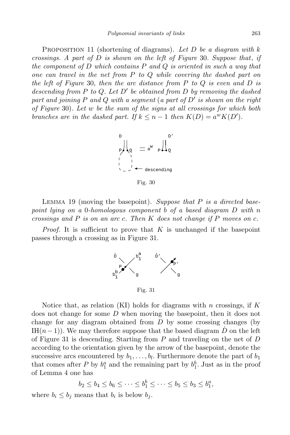PROPOSITION 11 (shortening of diagrams). Let D be a diagram with  $k$ crossings. A part of  $D$  is shown on the left of Figure 30. Suppose that, if the component of D which contains  $P$  and  $Q$  is oriented in such a way that one can travel in the net from P to Q while covering the dashed part on the left of Figure 30, then the arc distance from  $P$  to  $Q$  is even and  $D$  is descending from  $P$  to  $Q$ . Let  $D'$  be obtained from  $D$  by removing the dashed part and joining P and Q with a segment (a part of  $D^\prime$  is shown on the right of Figure 30). Let w be the sum of the signs at all crossings for which both branches are in the dashed part. If  $k \leq n-1$  then  $K(D) = a^w K(D')$ .



Fig. 30

LEMMA 19 (moving the basepoint). Suppose that  $P$  is a directed basepoint lying on a 0-homologous component b of a based diagram D with n crossings and  $P$  is on an arc c. Then  $K$  does not change if  $P$  moves on  $c$ .

*Proof.* It is sufficient to prove that  $K$  is unchanged if the basepoint passes through a crossing as in Figure 31.



Fig. 31

Notice that, as relation (KI) holds for diagrams with n crossings, if  $K$ does not change for some D when moving the basepoint, then it does not change for any diagram obtained from  $D$  by some crossing changes (by IH $(n-1)$ ). We may therefore suppose that the based diagram  $\dot{D}$  on the left of Figure 31 is descending. Starting from  $P$  and traveling on the net of  $D$ according to the orientation given by the arrow of the basepoint, denote the successive arcs encountered by  $b_1, \ldots, b_l$ . Furthermore denote the part of  $b_1$ that comes after P by  $b_1^a$  and the remaining part by  $b_1^b$ . Just as in the proof of Lemma 4 one has

$$
b_2 \le b_4 \le b_6 \le \cdots \le b_1^b \le \cdots \le b_5 \le b_3 \le b_4^a,
$$

where  $b_i \leq b_j$  means that  $b_i$  is below  $b_j$ .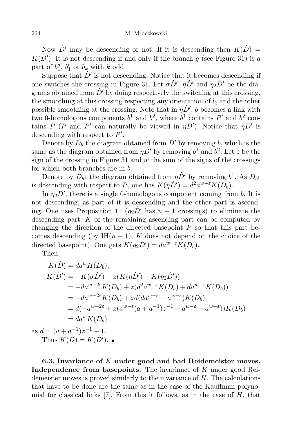Now  $\dot{D}'$  may be descending or not. If it is descending then  $K(\dot{D}) =$  $K(\dot{D}')$ . It is not descending if and only if the branch g (see Figure 31) is a part of  $b_1^a$ ,  $b_1^b$  or  $b_k$  with k odd.

Suppose that  $\dot{D}'$  is not descending. Notice that it becomes descending if one switches the crossing in Figure 31. Let  $\sigma \dot{D}'$ ,  $\eta \dot{D}'$  and  $\eta_2 \dot{D}'$  be the diagrams obtained from  $\dot{D}'$  by doing respectively the switching at this crossing, the smoothing at this crossing respecting any orientation of  $b$ , and the other possible smoothing at the crossing. Note that in  $\eta \dot{D}'$ , b becomes a link with two 0-homologous components  $b^1$  and  $b^2$ , where  $b^1$  contains  $P'$  and  $b^2$  contains P (P and P' can naturally be viewed in  $\eta \dot{D}'$ ). Notice that  $\eta \dot{D}'$  is descending with respect to  $P'$ .

Denote by  $D_b$  the diagram obtained from  $\dot{D}'$  by removing b, which is the same as the diagram obtained from  $\eta \dot{D}'$  by removing  $b^1$  and  $b^2$ . Let  $\varepsilon$  be the sign of the crossing in Figure 31 and  $w$  the sum of the signs of the crossings for which both branches are in b.

Denote by  $D_{b^1}$  the diagram obtained from  $\eta \dot{D}'$  by removing  $b^1$ . As  $D_{b^1}$ is descending with respect to P, one has  $K(\eta \dot{D}') = d^2 a^{w-\epsilon} K(D_b)$ .

In  $\eta_2 \dot{D}'$ , there is a single 0-homologous component coming from b. It is not descending, as part of it is descending and the other part is ascending. One uses Proposition 11  $(\eta_2 \dot{D}'$  has  $n-1$  crossings) to eliminate the descending part.  $K$  of the remaining ascending part can be computed by changing the direction of the directed basepoint  $P$  so that this part becomes descending (by IH $(n-1)$ , K does not depend on the choice of the directed basepoint). One gets  $K(\eta_2 \dot{D}') = da^{w-\epsilon} K(D_b)$ .

Then

$$
K(D) = da^{w} H(D_{b}),
$$
  
\n
$$
K(D') = -K(\sigma D') + z(K(\eta D') + K(\eta_{2} D'))
$$
  
\n
$$
= -da^{w-2\varepsilon} K(D_{b}) + z(d^{2} a^{w-\varepsilon} K(D_{b}) + da^{w-\varepsilon} K(D_{b}))
$$
  
\n
$$
= -da^{w-2\varepsilon} K(D_{b}) + zd(da^{w-\varepsilon} + a^{w-\varepsilon}) K(D_{b})
$$
  
\n
$$
= d(-a^{w-2\varepsilon} + z(a^{w-\varepsilon}(a + a^{-1})z^{-1} - a^{w-\varepsilon} + a^{w-\varepsilon})) K(D_{b})
$$
  
\n
$$
= da^{w} K(D_{b})
$$
  
\nas  $d = (a + a^{-1})z^{-1} - 1.$ 

Thus  $K(\dot{D}) = K(\dot{D}').$ 

6.3. Invariance of  $K$  under good and bad Reidemeister moves. Independence from basepoints. The invariance of K under good Reidemeister moves is proved similarly to the invariance of  $H$ . The calculations that have to be done are the same as in the case of the Kauffman polynomial for classical links  $[7]$ . From this it follows, as in the case of H, that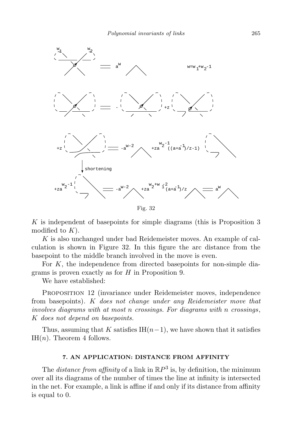

Fig. 32

K is independent of basepoints for simple diagrams (this is Proposition 3 modified to  $K$ ).

K is also unchanged under bad Reidemeister moves. An example of calculation is shown in Figure 32. In this figure the arc distance from the basepoint to the middle branch involved in the move is even.

For  $K$ , the independence from directed basepoints for non-simple diagrams is proven exactly as for H in Proposition 9.

We have established:

Proposition 12 (invariance under Reidemeister moves, independence from basepoints). K does not change under any Reidemeister move that involves diagrams with at most n crossings. For diagrams with n crossings, K does not depend on basepoints.

Thus, assuming that K satisfies IH $(n-1)$ , we have shown that it satisfies IH $(n)$ . Theorem 4 follows.

## 7. AN APPLICATION: DISTANCE FROM AFFINITY

The *distance from affinity* of a link in  $\mathbb{R}P^3$  is, by definition, the minimum over all its diagrams of the number of times the line at infinity is intersected in the net. For example, a link is affine if and only if its distance from affinity is equal to 0.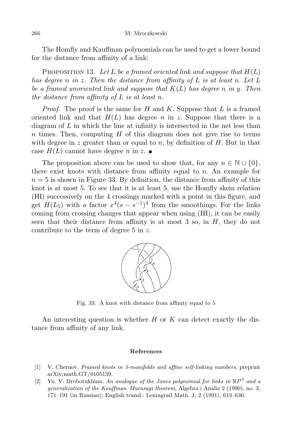The Homfly and Kauffman polynomials can be used to get a lower bound for the distance from affinity of a link:

PROPOSITION 13. Let L be a framed oriented link and suppose that  $H(L)$ has degree n in z. Then the distance from affinity of  $L$  is at least n. Let  $L$ be a framed unoriented link and suppose that  $K(L)$  has degree n in y. Then the distance from affinity of  $L$  is at least n.

*Proof.* The proof is the same for H and K. Suppose that L is a framed oriented link and that  $H(L)$  has degree n in z. Suppose that there is a diagram of  $L$  in which the line at infinity is intersected in the net less than n times. Then, computing  $H$  of this diagram does not give rise to terms with degree in z greater than or equal to n, by definition of  $H$ . But in that case  $H(L)$  cannot have degree n in z.

The proposition above can be used to show that, for any  $n \in \mathbb{N} \cup \{0\}$ , there exist knots with distance from affinity equal to n. An example for  $n = 5$  is shown in Figure 33. By definition, the distance from affinity of this knot is at most 5. To see that it is at least 5, use the Homfly skein relation (HI) successively on the 4 crossings marked with a point in this figure, and get  $H(L_5)$  with a factor  $x^4(s-s^{-1})^4$  from the smoothings. For the links coming from crossing changes that appear when using (HI), it can be easily seen that their distance from affinity is at most 3 so, in  $H$ , they do not contribute to the term of degree  $5$  in  $z$ .



Fig. 33. A knot with distance from affinity equal to 5

An interesting question is whether  $H$  or  $K$  can detect exactly the distance from affinity of any link.

#### References

- [1] V. Chernov, Framed knots in 3-manifolds and affine self-linking numbers, preprint arXiv:math.GT/0105139.
- [2] Yu. V. Drobotukhina, An analogue of the Jones polynomial for links in  $\mathbb{R}P^3$  and a generalization of the Kauffman–Murasugi theorem, Algebra i Analiz 2 (1990), no. 3, 171–191 (in Russian); English transl.: Leningrad Math. J. 2 (1991), 613–630.